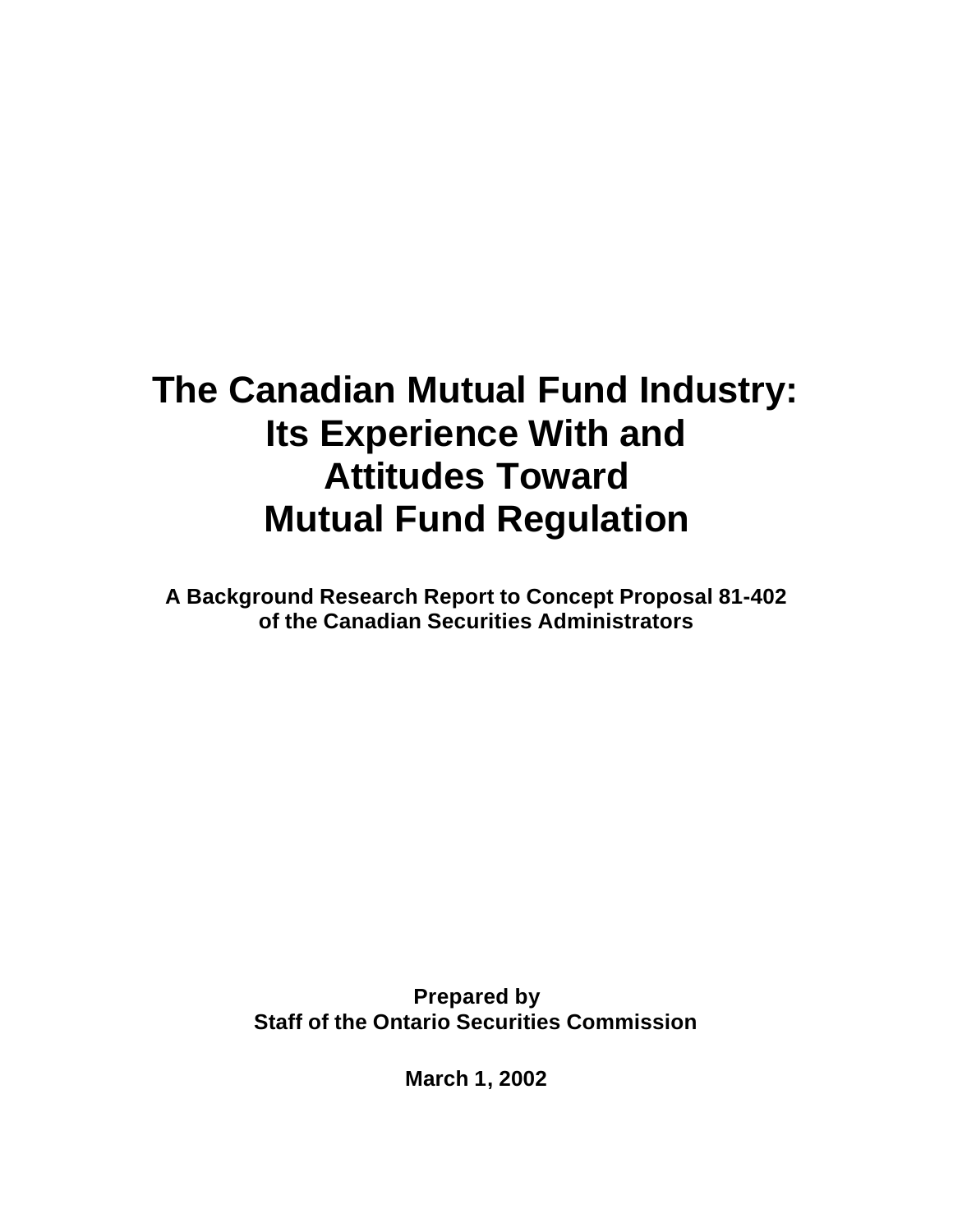# **The Canadian Mutual Fund Industry: Its Experience With and Attitudes Toward Mutual Fund Regulation**

**A Background Research Report to Concept Proposal 81-402 of the Canadian Securities Administrators**

> **Prepared by Staff of the Ontario Securities Commission**

> > **March 1, 2002**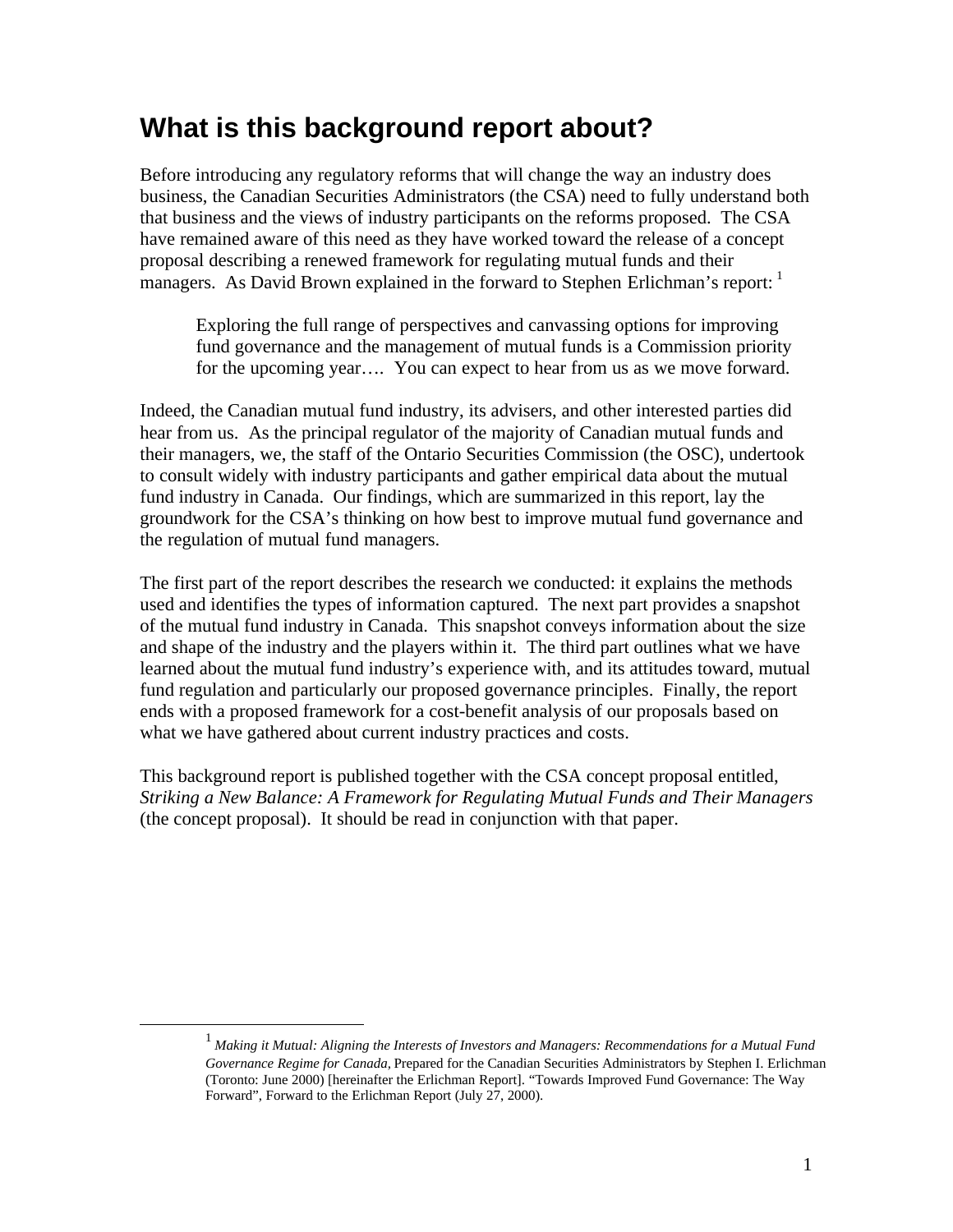## **What is this background report about?**

Before introducing any regulatory reforms that will change the way an industry does business, the Canadian Securities Administrators (the CSA) need to fully understand both that business and the views of industry participants on the reforms proposed. The CSA have remained aware of this need as they have worked toward the release of a concept proposal describing a renewed framework for regulating mutual funds and their managers. As David Brown explained in the forward to Stephen Erlichman's report: <sup>1</sup>

Exploring the full range of perspectives and canvassing options for improving fund governance and the management of mutual funds is a Commission priority for the upcoming year…. You can expect to hear from us as we move forward.

Indeed, the Canadian mutual fund industry, its advisers, and other interested parties did hear from us. As the principal regulator of the majority of Canadian mutual funds and their managers, we, the staff of the Ontario Securities Commission (the OSC), undertook to consult widely with industry participants and gather empirical data about the mutual fund industry in Canada. Our findings, which are summarized in this report, lay the groundwork for the CSA's thinking on how best to improve mutual fund governance and the regulation of mutual fund managers.

The first part of the report describes the research we conducted: it explains the methods used and identifies the types of information captured. The next part provides a snapshot of the mutual fund industry in Canada. This snapshot conveys information about the size and shape of the industry and the players within it. The third part outlines what we have learned about the mutual fund industry's experience with, and its attitudes toward, mutual fund regulation and particularly our proposed governance principles. Finally, the report ends with a proposed framework for a cost-benefit analysis of our proposals based on what we have gathered about current industry practices and costs.

This background report is published together with the CSA concept proposal entitled, *Striking a New Balance: A Framework for Regulating Mutual Funds and Their Managers* (the concept proposal). It should be read in conjunction with that paper.

 $\overline{a}$ 

<sup>1</sup> *Making it Mutual: Aligning the Interests of Investors and Managers: Recommendations for a Mutual Fund Governance Regime for Canada,* Prepared for the Canadian Securities Administrators by Stephen I. Erlichman (Toronto: June 2000) [hereinafter the Erlichman Report]. "Towards Improved Fund Governance: The Way Forward", Forward to the Erlichman Report (July 27, 2000).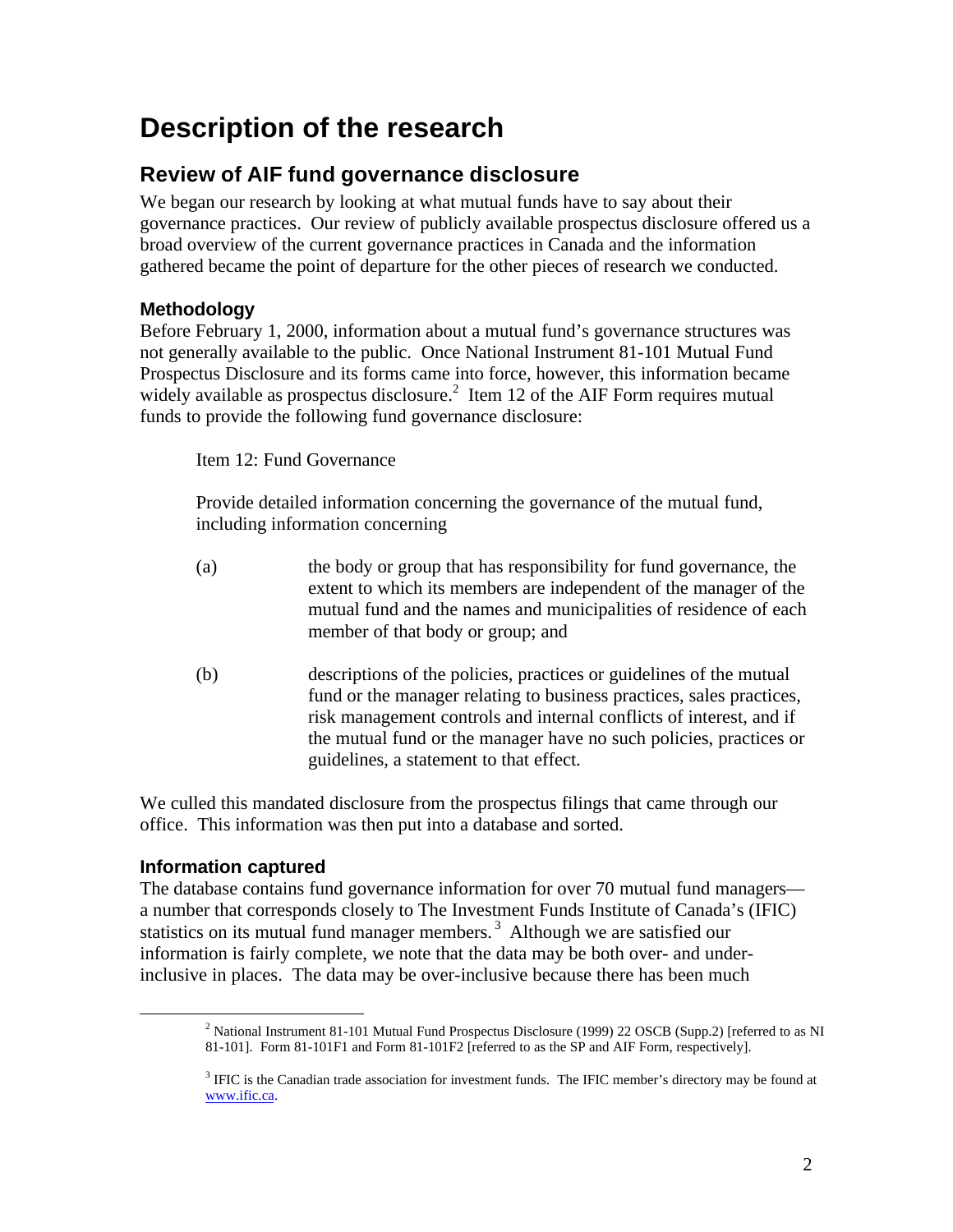## **Description of the research**

## **Review of AIF fund governance disclosure**

We began our research by looking at what mutual funds have to say about their governance practices. Our review of publicly available prospectus disclosure offered us a broad overview of the current governance practices in Canada and the information gathered became the point of departure for the other pieces of research we conducted.

## **Methodology**

Before February 1, 2000, information about a mutual fund's governance structures was not generally available to the public. Once National Instrument 81-101 Mutual Fund Prospectus Disclosure and its forms came into force, however, this information became widely available as prospectus disclosure.<sup>2</sup> Item 12 of the AIF Form requires mutual funds to provide the following fund governance disclosure:

Item 12: Fund Governance

Provide detailed information concerning the governance of the mutual fund, including information concerning

- (a) the body or group that has responsibility for fund governance, the extent to which its members are independent of the manager of the mutual fund and the names and municipalities of residence of each member of that body or group; and
- (b) descriptions of the policies, practices or guidelines of the mutual fund or the manager relating to business practices, sales practices, risk management controls and internal conflicts of interest, and if the mutual fund or the manager have no such policies, practices or guidelines, a statement to that effect.

We culled this mandated disclosure from the prospectus filings that came through our office. This information was then put into a database and sorted.

## **Information captured**

 $\overline{a}$ 

The database contains fund governance information for over 70 mutual fund managers a number that corresponds closely to The Investment Funds Institute of Canada's (IFIC) statistics on its mutual fund manager members.<sup>3</sup> Although we are satisfied our information is fairly complete, we note that the data may be both over- and underinclusive in places. The data may be over-inclusive because there has been much

<sup>&</sup>lt;sup>2</sup> National Instrument 81-101 Mutual Fund Prospectus Disclosure (1999) 22 OSCB (Supp.2) [referred to as NI 81-101]. Form 81-101F1 and Form 81-101F2 [referred to as the SP and AIF Form, respectively].

 $3$  IFIC is the Canadian trade association for investment funds. The IFIC member's directory may be found at www.ific.ca.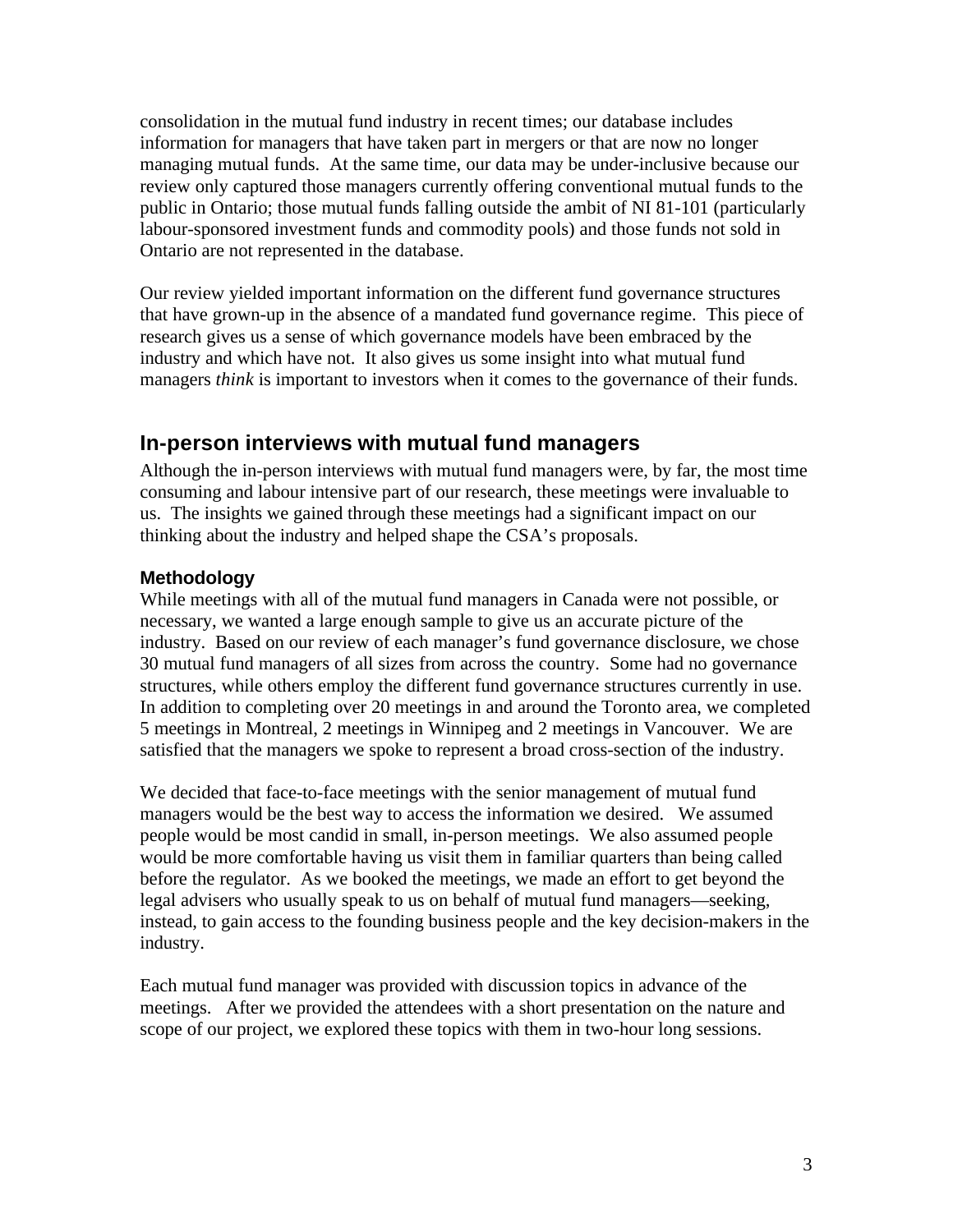consolidation in the mutual fund industry in recent times; our database includes information for managers that have taken part in mergers or that are now no longer managing mutual funds. At the same time, our data may be under-inclusive because our review only captured those managers currently offering conventional mutual funds to the public in Ontario; those mutual funds falling outside the ambit of NI 81-101 (particularly labour-sponsored investment funds and commodity pools) and those funds not sold in Ontario are not represented in the database.

Our review yielded important information on the different fund governance structures that have grown-up in the absence of a mandated fund governance regime. This piece of research gives us a sense of which governance models have been embraced by the industry and which have not. It also gives us some insight into what mutual fund managers *think* is important to investors when it comes to the governance of their funds.

## **In-person interviews with mutual fund managers**

Although the in-person interviews with mutual fund managers were, by far, the most time consuming and labour intensive part of our research, these meetings were invaluable to us. The insights we gained through these meetings had a significant impact on our thinking about the industry and helped shape the CSA's proposals.

#### **Methodology**

While meetings with all of the mutual fund managers in Canada were not possible, or necessary, we wanted a large enough sample to give us an accurate picture of the industry. Based on our review of each manager's fund governance disclosure, we chose 30 mutual fund managers of all sizes from across the country. Some had no governance structures, while others employ the different fund governance structures currently in use. In addition to completing over 20 meetings in and around the Toronto area, we completed 5 meetings in Montreal, 2 meetings in Winnipeg and 2 meetings in Vancouver. We are satisfied that the managers we spoke to represent a broad cross-section of the industry.

We decided that face-to-face meetings with the senior management of mutual fund managers would be the best way to access the information we desired. We assumed people would be most candid in small, in-person meetings. We also assumed people would be more comfortable having us visit them in familiar quarters than being called before the regulator. As we booked the meetings, we made an effort to get beyond the legal advisers who usually speak to us on behalf of mutual fund managers—seeking, instead, to gain access to the founding business people and the key decision-makers in the industry.

Each mutual fund manager was provided with discussion topics in advance of the meetings. After we provided the attendees with a short presentation on the nature and scope of our project, we explored these topics with them in two-hour long sessions.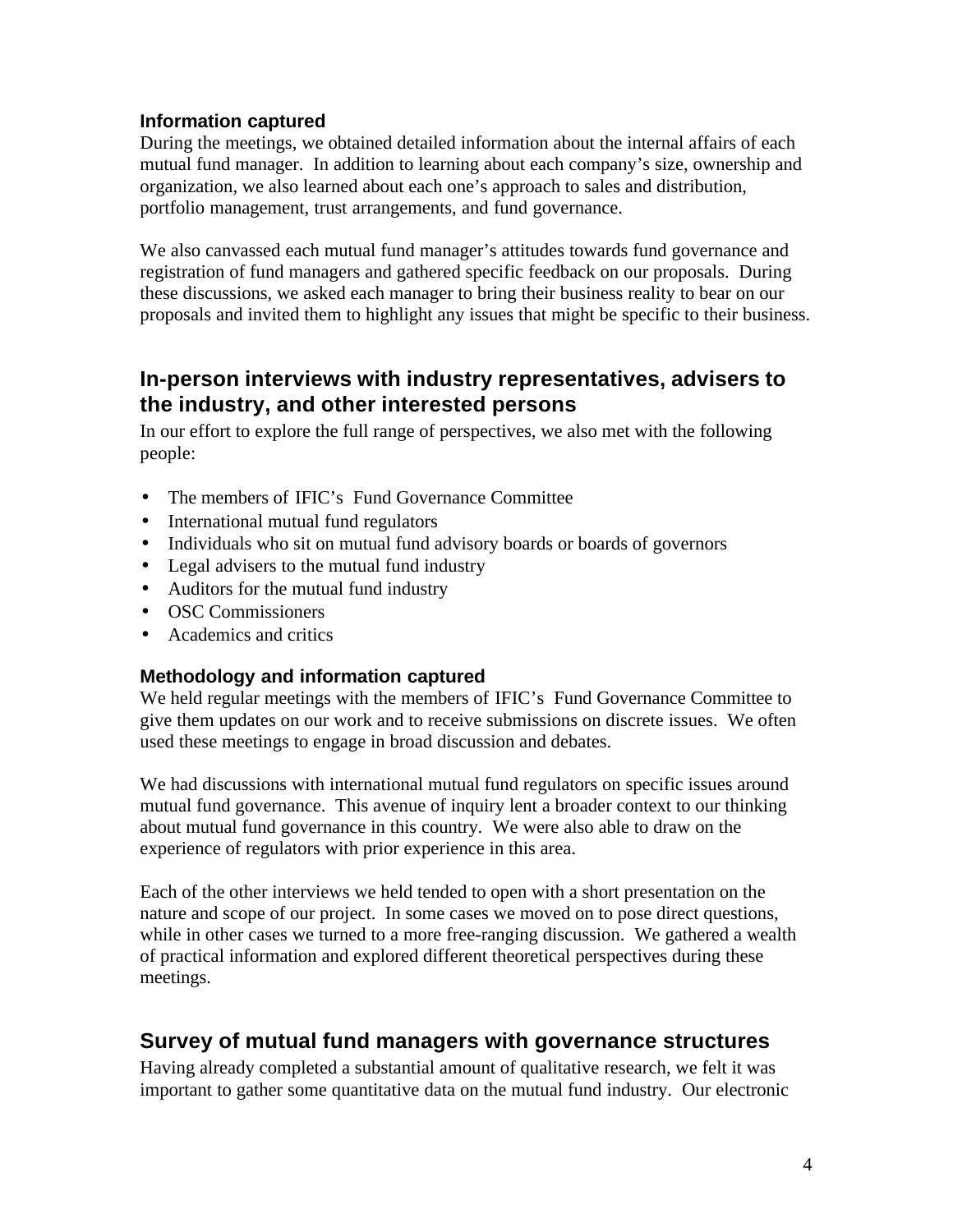#### **Information captured**

During the meetings, we obtained detailed information about the internal affairs of each mutual fund manager. In addition to learning about each company's size, ownership and organization, we also learned about each one's approach to sales and distribution, portfolio management, trust arrangements, and fund governance.

We also canvassed each mutual fund manager's attitudes towards fund governance and registration of fund managers and gathered specific feedback on our proposals. During these discussions, we asked each manager to bring their business reality to bear on our proposals and invited them to highlight any issues that might be specific to their business.

## **In-person interviews with industry representatives, advisers to the industry, and other interested persons**

In our effort to explore the full range of perspectives, we also met with the following people:

- The members of IFIC's Fund Governance Committee
- International mutual fund regulators
- Individuals who sit on mutual fund advisory boards or boards of governors
- Legal advisers to the mutual fund industry
- Auditors for the mutual fund industry
- OSC Commissioners
- Academics and critics

#### **Methodology and information captured**

We held regular meetings with the members of IFIC's Fund Governance Committee to give them updates on our work and to receive submissions on discrete issues. We often used these meetings to engage in broad discussion and debates.

We had discussions with international mutual fund regulators on specific issues around mutual fund governance. This avenue of inquiry lent a broader context to our thinking about mutual fund governance in this country. We were also able to draw on the experience of regulators with prior experience in this area.

Each of the other interviews we held tended to open with a short presentation on the nature and scope of our project. In some cases we moved on to pose direct questions, while in other cases we turned to a more free-ranging discussion. We gathered a wealth of practical information and explored different theoretical perspectives during these meetings.

## **Survey of mutual fund managers with governance structures**

Having already completed a substantial amount of qualitative research, we felt it was important to gather some quantitative data on the mutual fund industry. Our electronic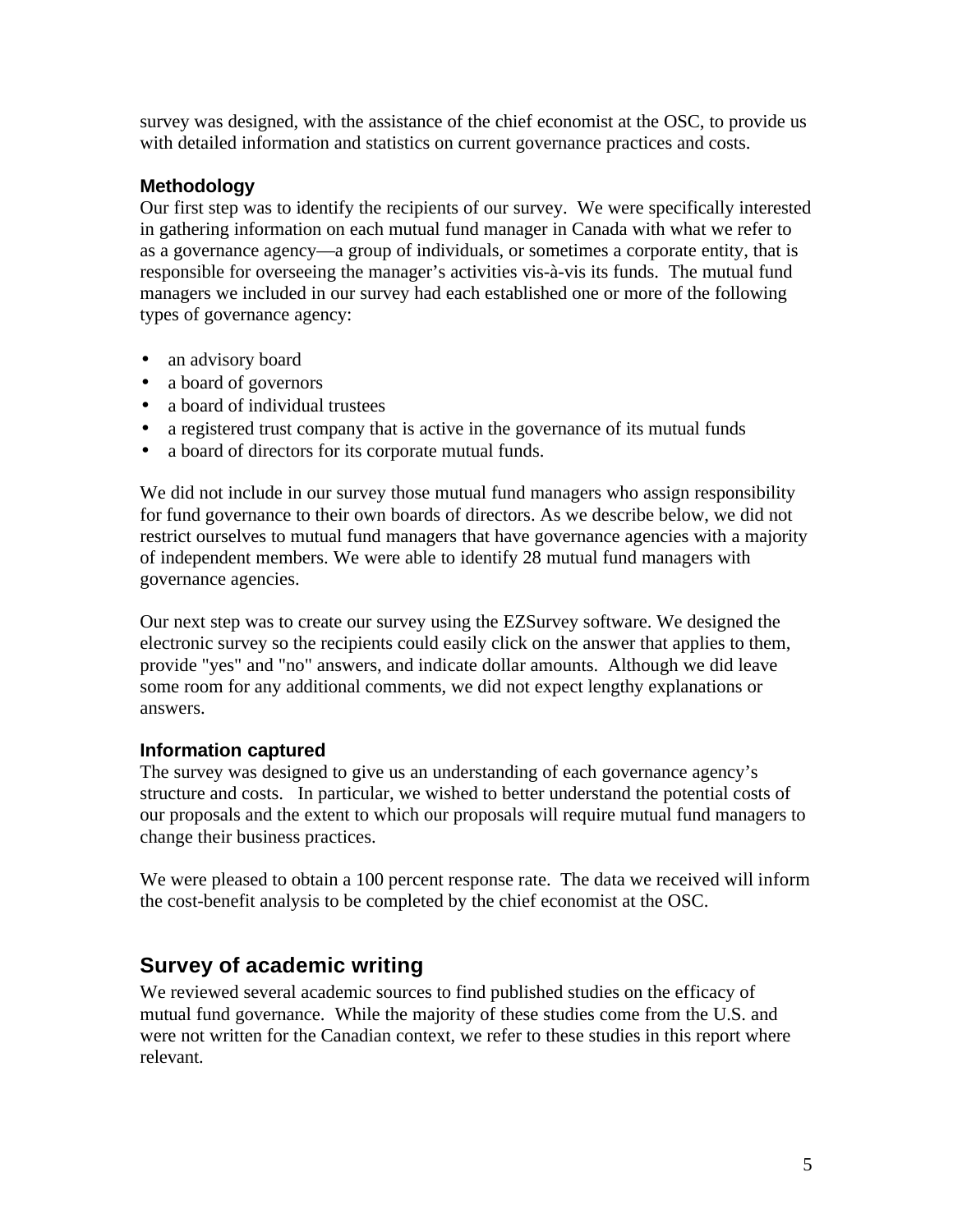survey was designed, with the assistance of the chief economist at the OSC, to provide us with detailed information and statistics on current governance practices and costs.

#### **Methodology**

Our first step was to identify the recipients of our survey. We were specifically interested in gathering information on each mutual fund manager in Canada with what we refer to as a governance agency—a group of individuals, or sometimes a corporate entity, that is responsible for overseeing the manager's activities vis-à-vis its funds. The mutual fund managers we included in our survey had each established one or more of the following types of governance agency:

- an advisory board
- a board of governors
- a board of individual trustees
- a registered trust company that is active in the governance of its mutual funds
- a board of directors for its corporate mutual funds.

We did not include in our survey those mutual fund managers who assign responsibility for fund governance to their own boards of directors. As we describe below, we did not restrict ourselves to mutual fund managers that have governance agencies with a majority of independent members. We were able to identify 28 mutual fund managers with governance agencies.

Our next step was to create our survey using the EZSurvey software. We designed the electronic survey so the recipients could easily click on the answer that applies to them, provide "yes" and "no" answers, and indicate dollar amounts. Although we did leave some room for any additional comments, we did not expect lengthy explanations or answers.

#### **Information captured**

The survey was designed to give us an understanding of each governance agency's structure and costs. In particular, we wished to better understand the potential costs of our proposals and the extent to which our proposals will require mutual fund managers to change their business practices.

We were pleased to obtain a 100 percent response rate. The data we received will inform the cost-benefit analysis to be completed by the chief economist at the OSC.

## **Survey of academic writing**

We reviewed several academic sources to find published studies on the efficacy of mutual fund governance. While the majority of these studies come from the U.S. and were not written for the Canadian context, we refer to these studies in this report where relevant.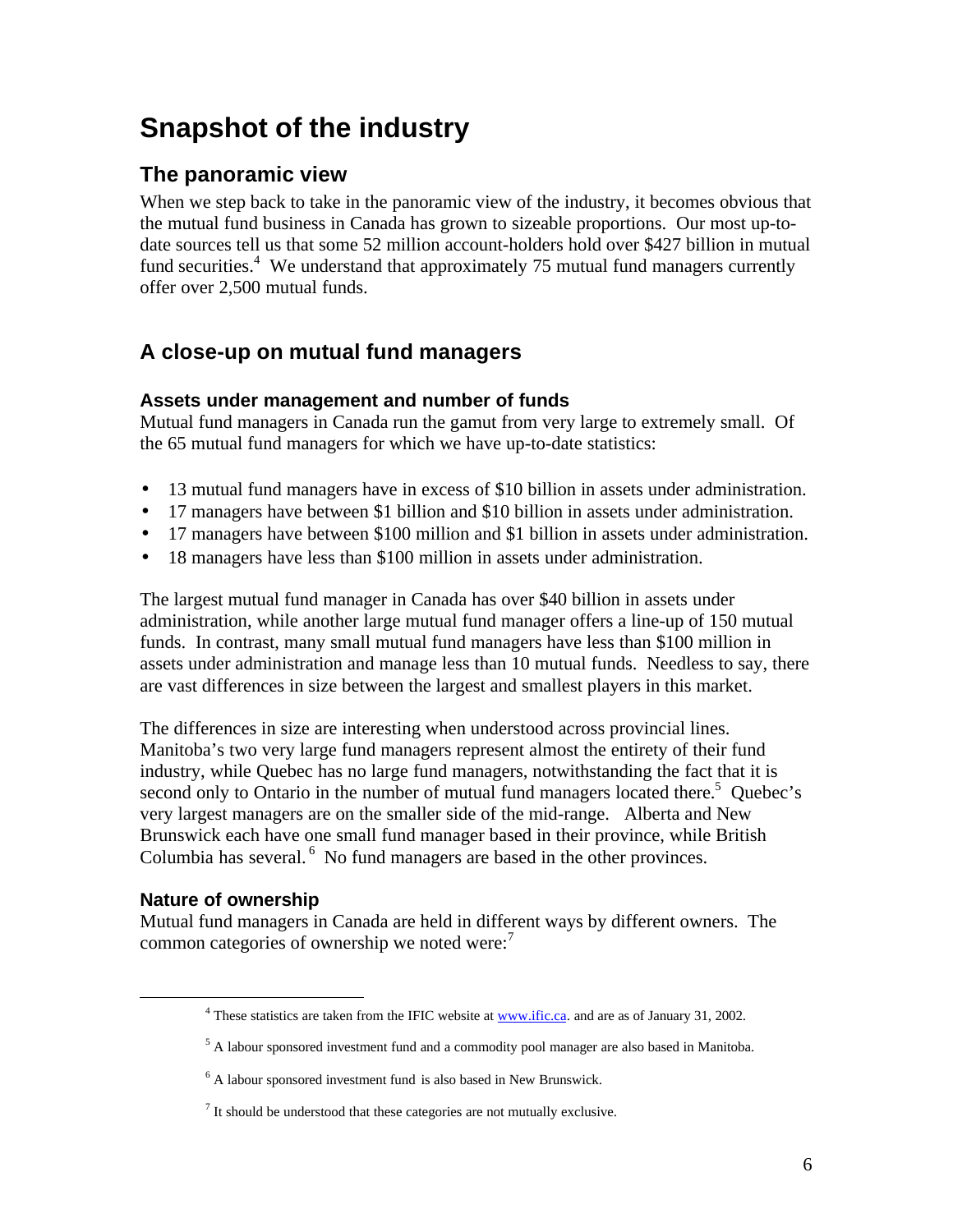## **Snapshot of the industry**

## **The panoramic view**

When we step back to take in the panoramic view of the industry, it becomes obvious that the mutual fund business in Canada has grown to sizeable proportions. Our most up-todate sources tell us that some 52 million account-holders hold over \$427 billion in mutual fund securities.<sup>4</sup> We understand that approximately 75 mutual fund managers currently offer over 2,500 mutual funds.

## **A close-up on mutual fund managers**

## **Assets under management and number of funds**

Mutual fund managers in Canada run the gamut from very large to extremely small. Of the 65 mutual fund managers for which we have up-to-date statistics:

- 13 mutual fund managers have in excess of \$10 billion in assets under administration.
- 17 managers have between \$1 billion and \$10 billion in assets under administration.
- 17 managers have between \$100 million and \$1 billion in assets under administration.
- 18 managers have less than \$100 million in assets under administration.

The largest mutual fund manager in Canada has over \$40 billion in assets under administration, while another large mutual fund manager offers a line-up of 150 mutual funds. In contrast, many small mutual fund managers have less than \$100 million in assets under administration and manage less than 10 mutual funds. Needless to say, there are vast differences in size between the largest and smallest players in this market.

The differences in size are interesting when understood across provincial lines. Manitoba's two very large fund managers represent almost the entirety of their fund industry, while Quebec has no large fund managers, notwithstanding the fact that it is second only to Ontario in the number of mutual fund managers located there.<sup>5</sup> Quebec's very largest managers are on the smaller side of the mid-range. Alberta and New Brunswick each have one small fund manager based in their province, while British Columbia has several.<sup>6</sup> No fund managers are based in the other provinces.

## **Nature of ownership**

 $\overline{a}$ 

Mutual fund managers in Canada are held in different ways by different owners. The common categories of ownership we noted were:<sup>7</sup>

<sup>&</sup>lt;sup>4</sup> These statistics are taken from the IFIC website at **www.ific.ca**. and are as of January 31, 2002.

<sup>&</sup>lt;sup>5</sup> A labour sponsored investment fund and a commodity pool manager are also based in Manitoba.

<sup>&</sup>lt;sup>6</sup> A labour sponsored investment fund is also based in New Brunswick.

 $<sup>7</sup>$  It should be understood that these categories are not mutually exclusive.</sup>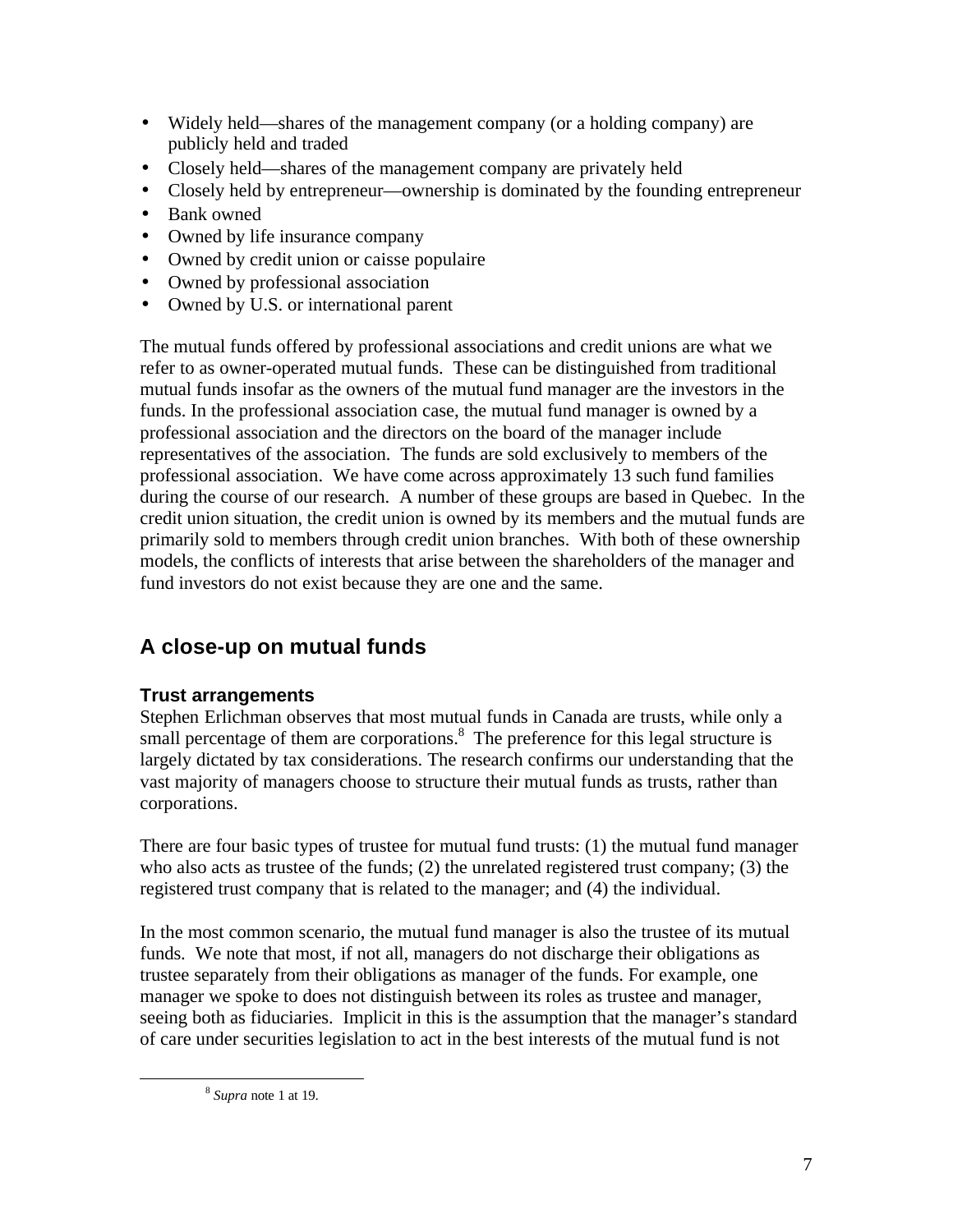- Widely held—shares of the management company (or a holding company) are publicly held and traded
- Closely held—shares of the management company are privately held
- Closely held by entrepreneur—ownership is dominated by the founding entrepreneur
- Bank owned
- Owned by life insurance company
- Owned by credit union or caisse populaire
- Owned by professional association
- Owned by U.S. or international parent

The mutual funds offered by professional associations and credit unions are what we refer to as owner-operated mutual funds. These can be distinguished from traditional mutual funds insofar as the owners of the mutual fund manager are the investors in the funds. In the professional association case, the mutual fund manager is owned by a professional association and the directors on the board of the manager include representatives of the association. The funds are sold exclusively to members of the professional association. We have come across approximately 13 such fund families during the course of our research. A number of these groups are based in Quebec. In the credit union situation, the credit union is owned by its members and the mutual funds are primarily sold to members through credit union branches. With both of these ownership models, the conflicts of interests that arise between the shareholders of the manager and fund investors do not exist because they are one and the same.

## **A close-up on mutual funds**

## **Trust arrangements**

Stephen Erlichman observes that most mutual funds in Canada are trusts, while only a small percentage of them are corporations. $8$  The preference for this legal structure is largely dictated by tax considerations. The research confirms our understanding that the vast majority of managers choose to structure their mutual funds as trusts, rather than corporations.

There are four basic types of trustee for mutual fund trusts: (1) the mutual fund manager who also acts as trustee of the funds;  $(2)$  the unrelated registered trust company;  $(3)$  the registered trust company that is related to the manager; and (4) the individual.

In the most common scenario, the mutual fund manager is also the trustee of its mutual funds. We note that most, if not all, managers do not discharge their obligations as trustee separately from their obligations as manager of the funds. For example, one manager we spoke to does not distinguish between its roles as trustee and manager, seeing both as fiduciaries. Implicit in this is the assumption that the manager's standard of care under securities legislation to act in the best interests of the mutual fund is not

 $\overline{a}$ 

<sup>8</sup> *Supra* note 1 at 19.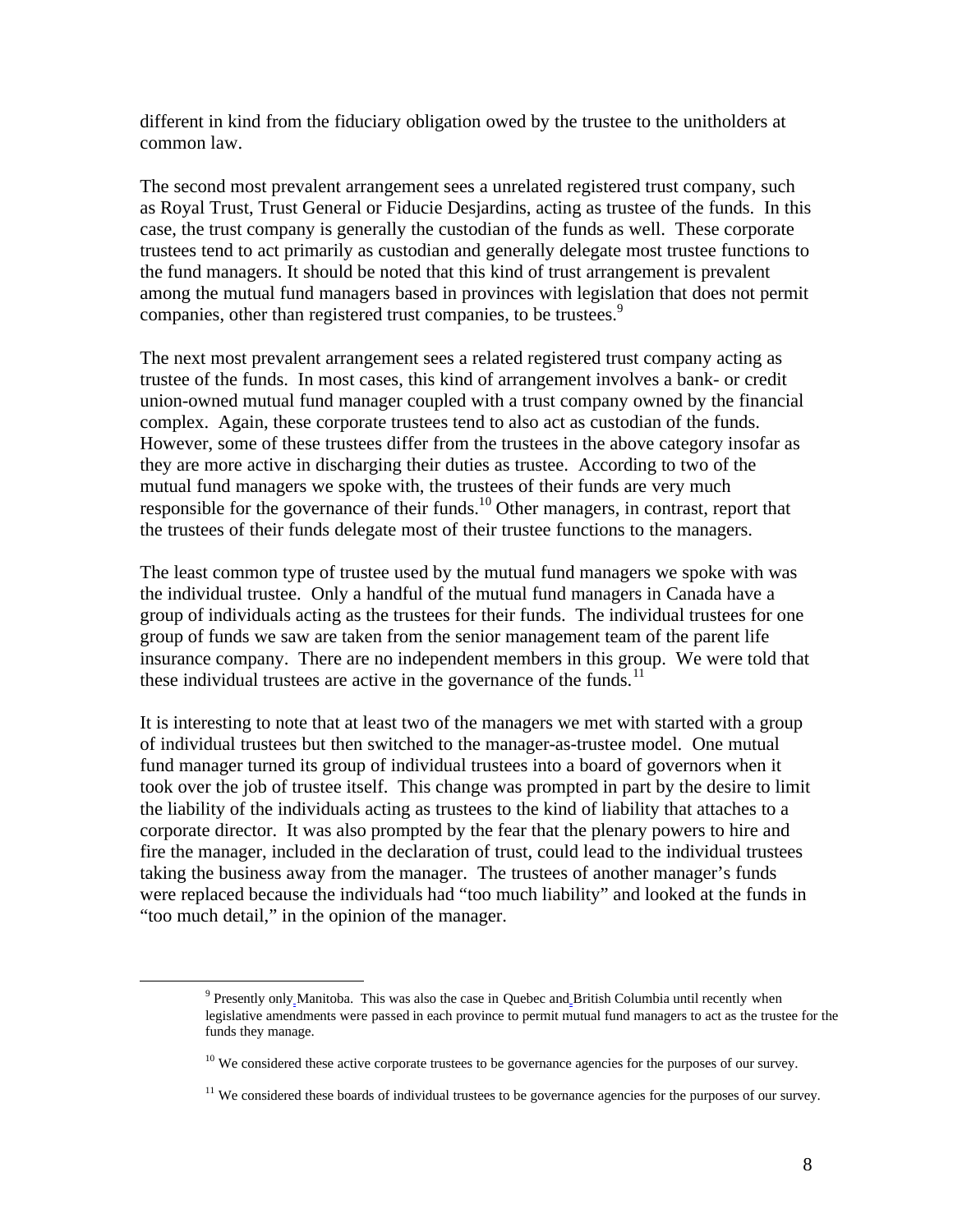different in kind from the fiduciary obligation owed by the trustee to the unitholders at common law.

The second most prevalent arrangement sees a unrelated registered trust company, such as Royal Trust, Trust General or Fiducie Desjardins, acting as trustee of the funds. In this case, the trust company is generally the custodian of the funds as well. These corporate trustees tend to act primarily as custodian and generally delegate most trustee functions to the fund managers. It should be noted that this kind of trust arrangement is prevalent among the mutual fund managers based in provinces with legislation that does not permit companies, other than registered trust companies, to be trustees.<sup>9</sup>

The next most prevalent arrangement sees a related registered trust company acting as trustee of the funds. In most cases, this kind of arrangement involves a bank- or credit union-owned mutual fund manager coupled with a trust company owned by the financial complex. Again, these corporate trustees tend to also act as custodian of the funds. However, some of these trustees differ from the trustees in the above category insofar as they are more active in discharging their duties as trustee. According to two of the mutual fund managers we spoke with, the trustees of their funds are very much responsible for the governance of their funds.<sup>10</sup> Other managers, in contrast, report that the trustees of their funds delegate most of their trustee functions to the managers.

The least common type of trustee used by the mutual fund managers we spoke with was the individual trustee. Only a handful of the mutual fund managers in Canada have a group of individuals acting as the trustees for their funds. The individual trustees for one group of funds we saw are taken from the senior management team of the parent life insurance company. There are no independent members in this group. We were told that these individual trustees are active in the governance of the funds.<sup>11</sup>

It is interesting to note that at least two of the managers we met with started with a group of individual trustees but then switched to the manager-as-trustee model. One mutual fund manager turned its group of individual trustees into a board of governors when it took over the job of trustee itself. This change was prompted in part by the desire to limit the liability of the individuals acting as trustees to the kind of liability that attaches to a corporate director. It was also prompted by the fear that the plenary powers to hire and fire the manager, included in the declaration of trust, could lead to the individual trustees taking the business away from the manager. The trustees of another manager's funds were replaced because the individuals had "too much liability" and looked at the funds in "too much detail," in the opinion of the manager.

1

<sup>&</sup>lt;sup>9</sup> Presently only Manitoba. This was also the case in Quebec and British Columbia until recently when legislative amendments were passed in each province to permit mutual fund managers to act as the trustee for the funds they manage.

<sup>&</sup>lt;sup>10</sup> We considered these active corporate trustees to be governance agencies for the purposes of our survey.

<sup>&</sup>lt;sup>11</sup> We considered these boards of individual trustees to be governance agencies for the purposes of our survey.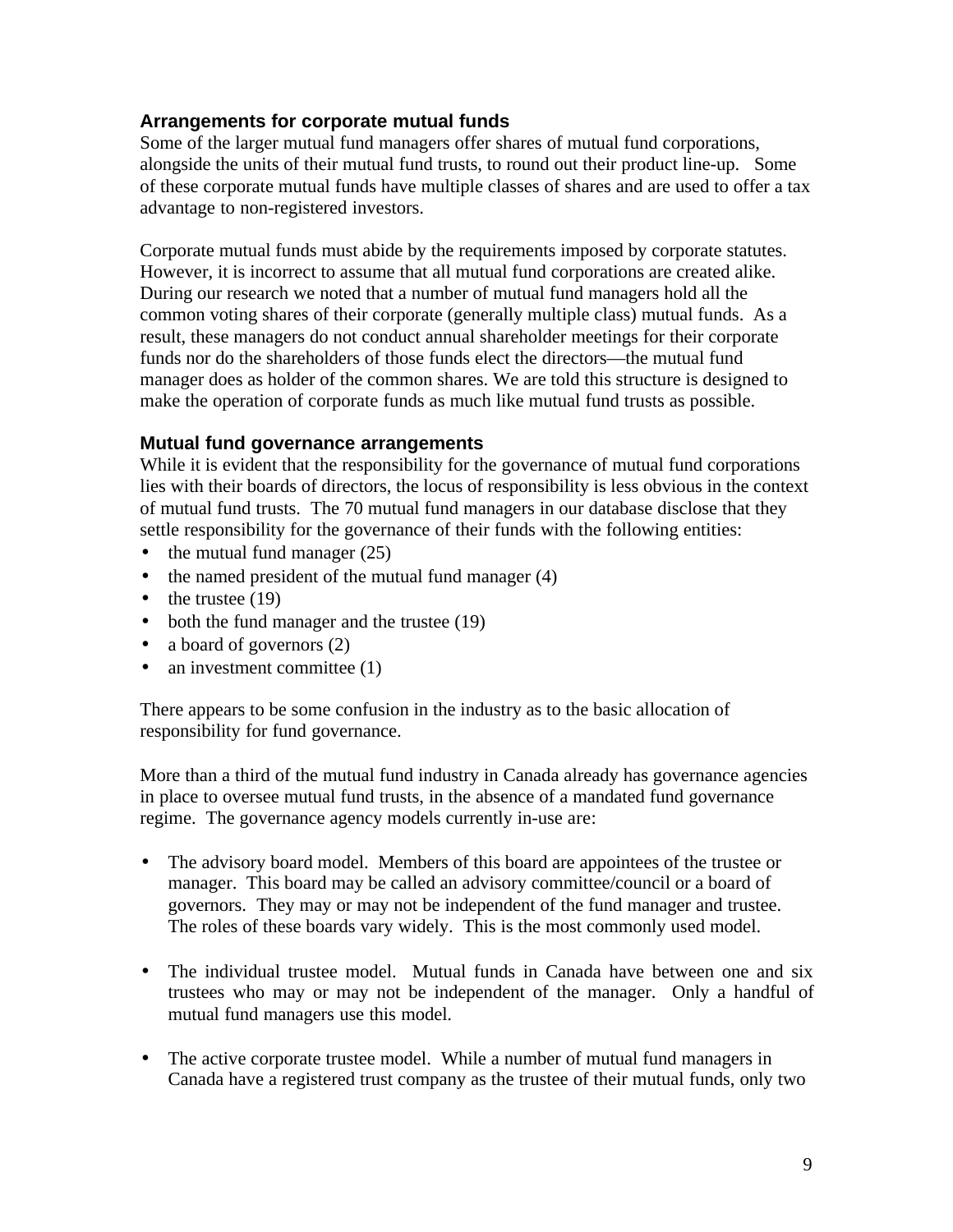#### **Arrangements for corporate mutual funds**

Some of the larger mutual fund managers offer shares of mutual fund corporations, alongside the units of their mutual fund trusts, to round out their product line-up. Some of these corporate mutual funds have multiple classes of shares and are used to offer a tax advantage to non-registered investors.

Corporate mutual funds must abide by the requirements imposed by corporate statutes. However, it is incorrect to assume that all mutual fund corporations are created alike. During our research we noted that a number of mutual fund managers hold all the common voting shares of their corporate (generally multiple class) mutual funds. As a result, these managers do not conduct annual shareholder meetings for their corporate funds nor do the shareholders of those funds elect the directors—the mutual fund manager does as holder of the common shares. We are told this structure is designed to make the operation of corporate funds as much like mutual fund trusts as possible.

#### **Mutual fund governance arrangements**

While it is evident that the responsibility for the governance of mutual fund corporations lies with their boards of directors, the locus of responsibility is less obvious in the context of mutual fund trusts. The 70 mutual fund managers in our database disclose that they settle responsibility for the governance of their funds with the following entities:

- the mutual fund manager  $(25)$
- the named president of the mutual fund manager (4)
- $\bullet$  the trustee (19)
- both the fund manager and the trustee (19)
- a board of governors (2)
- an investment committee (1)

There appears to be some confusion in the industry as to the basic allocation of responsibility for fund governance.

More than a third of the mutual fund industry in Canada already has governance agencies in place to oversee mutual fund trusts, in the absence of a mandated fund governance regime. The governance agency models currently in-use are:

- The advisory board model. Members of this board are appointees of the trustee or manager. This board may be called an advisory committee/council or a board of governors. They may or may not be independent of the fund manager and trustee. The roles of these boards vary widely. This is the most commonly used model.
- The individual trustee model. Mutual funds in Canada have between one and six trustees who may or may not be independent of the manager. Only a handful of mutual fund managers use this model.
- The active corporate trustee model. While a number of mutual fund managers in Canada have a registered trust company as the trustee of their mutual funds, only two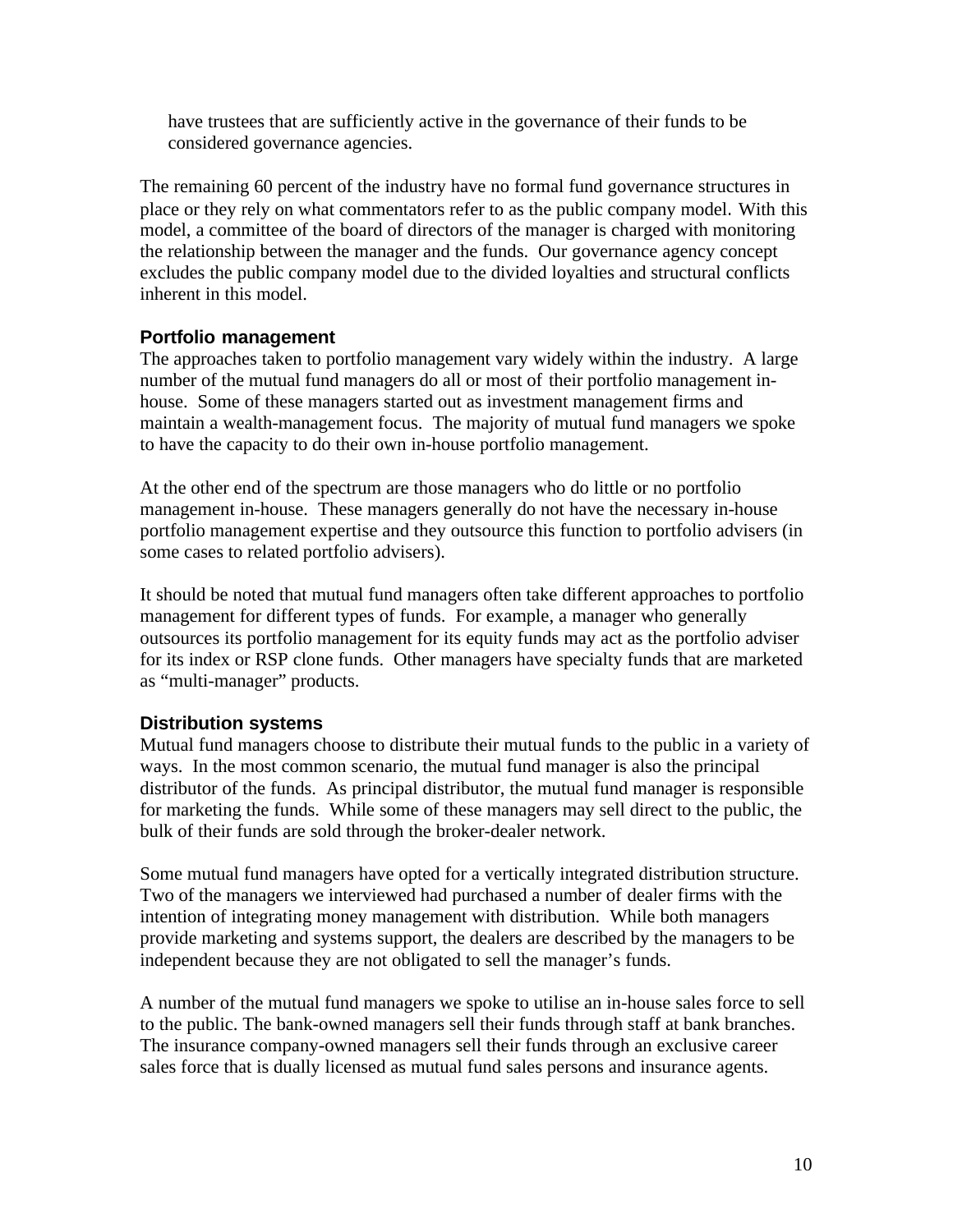have trustees that are sufficiently active in the governance of their funds to be considered governance agencies.

The remaining 60 percent of the industry have no formal fund governance structures in place or they rely on what commentators refer to as the public company model. With this model, a committee of the board of directors of the manager is charged with monitoring the relationship between the manager and the funds. Our governance agency concept excludes the public company model due to the divided loyalties and structural conflicts inherent in this model.

#### **Portfolio management**

The approaches taken to portfolio management vary widely within the industry. A large number of the mutual fund managers do all or most of their portfolio management inhouse. Some of these managers started out as investment management firms and maintain a wealth-management focus. The majority of mutual fund managers we spoke to have the capacity to do their own in-house portfolio management.

At the other end of the spectrum are those managers who do little or no portfolio management in-house. These managers generally do not have the necessary in-house portfolio management expertise and they outsource this function to portfolio advisers (in some cases to related portfolio advisers).

It should be noted that mutual fund managers often take different approaches to portfolio management for different types of funds. For example, a manager who generally outsources its portfolio management for its equity funds may act as the portfolio adviser for its index or RSP clone funds. Other managers have specialty funds that are marketed as "multi-manager" products.

## **Distribution systems**

Mutual fund managers choose to distribute their mutual funds to the public in a variety of ways. In the most common scenario, the mutual fund manager is also the principal distributor of the funds. As principal distributor, the mutual fund manager is responsible for marketing the funds. While some of these managers may sell direct to the public, the bulk of their funds are sold through the broker-dealer network.

Some mutual fund managers have opted for a vertically integrated distribution structure. Two of the managers we interviewed had purchased a number of dealer firms with the intention of integrating money management with distribution. While both managers provide marketing and systems support, the dealers are described by the managers to be independent because they are not obligated to sell the manager's funds.

A number of the mutual fund managers we spoke to utilise an in-house sales force to sell to the public. The bank-owned managers sell their funds through staff at bank branches. The insurance company-owned managers sell their funds through an exclusive career sales force that is dually licensed as mutual fund sales persons and insurance agents.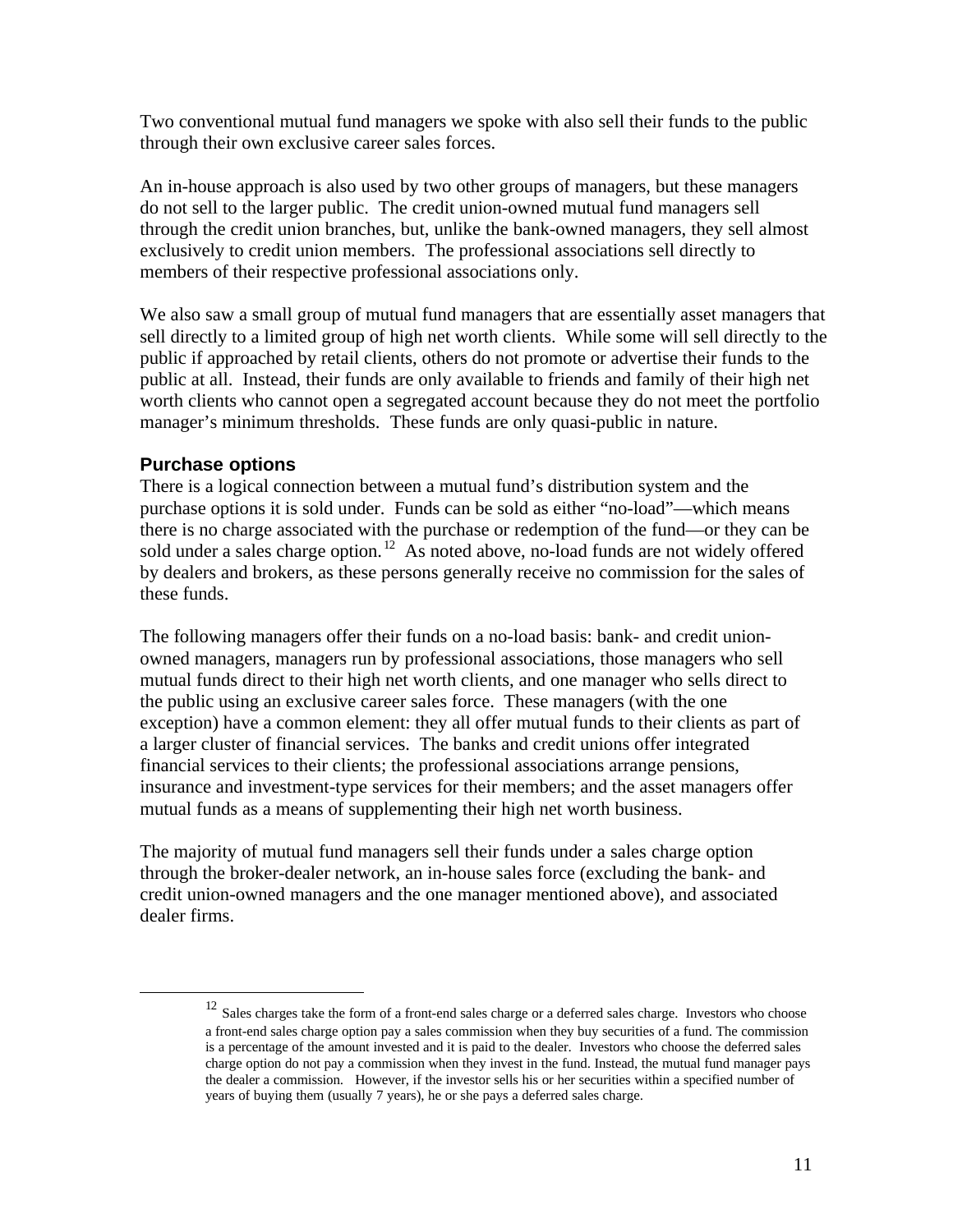Two conventional mutual fund managers we spoke with also sell their funds to the public through their own exclusive career sales forces.

An in-house approach is also used by two other groups of managers, but these managers do not sell to the larger public. The credit union-owned mutual fund managers sell through the credit union branches, but, unlike the bank-owned managers, they sell almost exclusively to credit union members. The professional associations sell directly to members of their respective professional associations only.

We also saw a small group of mutual fund managers that are essentially asset managers that sell directly to a limited group of high net worth clients. While some will sell directly to the public if approached by retail clients, others do not promote or advertise their funds to the public at all. Instead, their funds are only available to friends and family of their high net worth clients who cannot open a segregated account because they do not meet the portfolio manager's minimum thresholds. These funds are only quasi-public in nature.

#### **Purchase options**

1

There is a logical connection between a mutual fund's distribution system and the purchase options it is sold under. Funds can be sold as either "no-load"—which means there is no charge associated with the purchase or redemption of the fund—or they can be sold under a sales charge option.<sup>12</sup> As noted above, no-load funds are not widely offered by dealers and brokers, as these persons generally receive no commission for the sales of these funds.

The following managers offer their funds on a no-load basis: bank- and credit unionowned managers, managers run by professional associations, those managers who sell mutual funds direct to their high net worth clients, and one manager who sells direct to the public using an exclusive career sales force. These managers (with the one exception) have a common element: they all offer mutual funds to their clients as part of a larger cluster of financial services. The banks and credit unions offer integrated financial services to their clients; the professional associations arrange pensions, insurance and investment-type services for their members; and the asset managers offer mutual funds as a means of supplementing their high net worth business.

The majority of mutual fund managers sell their funds under a sales charge option through the broker-dealer network, an in-house sales force (excluding the bank- and credit union-owned managers and the one manager mentioned above), and associated dealer firms.

<sup>&</sup>lt;sup>12</sup> Sales charges take the form of a front-end sales charge or a deferred sales charge. Investors who choose a front-end sales charge option pay a sales commission when they buy securities of a fund. The commission is a percentage of the amount invested and it is paid to the dealer. Investors who choose the deferred sales charge option do not pay a commission when they invest in the fund. Instead, the mutual fund manager pays the dealer a commission. However, if the investor sells his or her securities within a specified number of years of buying them (usually 7 years), he or she pays a deferred sales charge.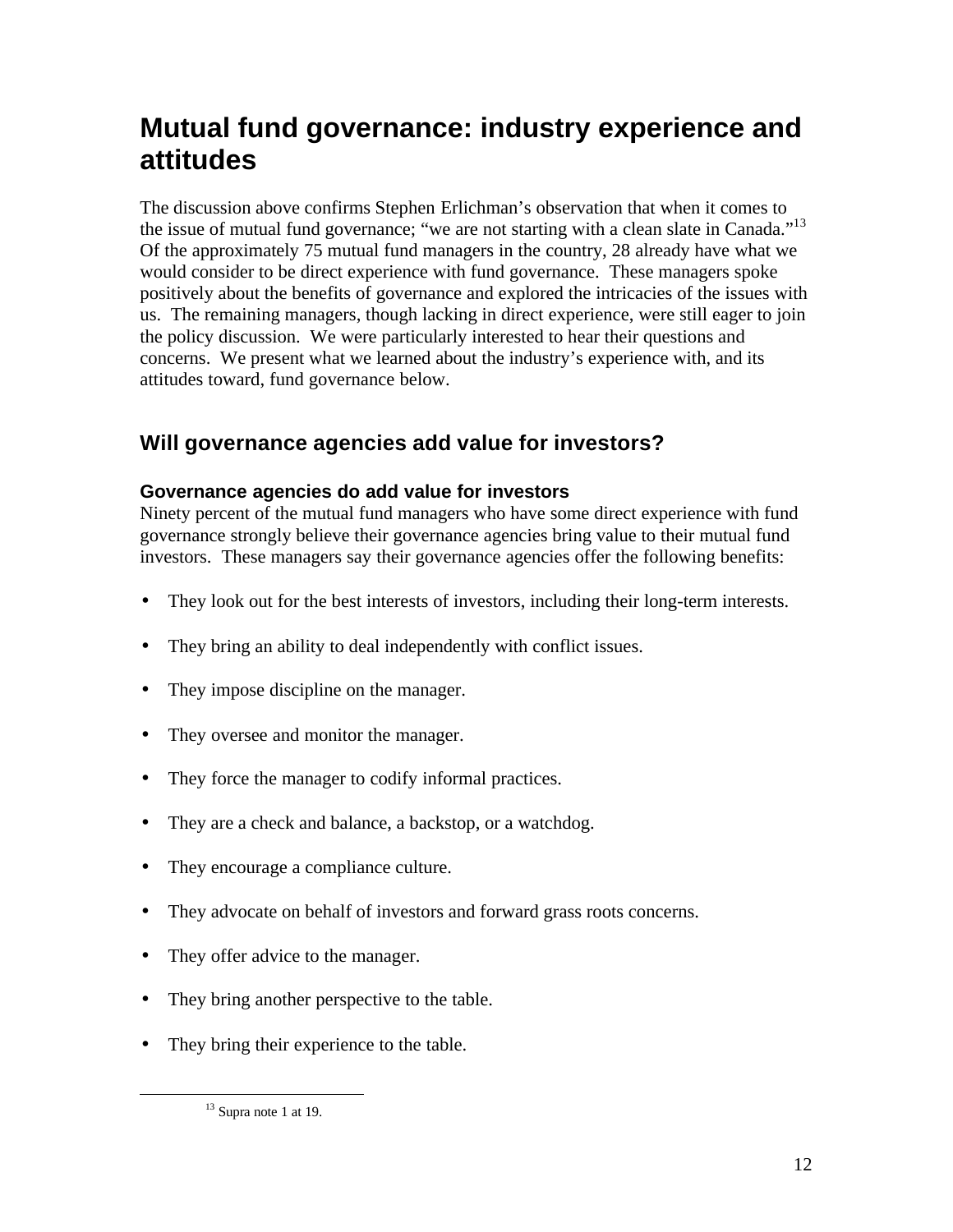## **Mutual fund governance: industry experience and attitudes**

The discussion above confirms Stephen Erlichman's observation that when it comes to the issue of mutual fund governance; "we are not starting with a clean slate in Canada."<sup>13</sup> Of the approximately 75 mutual fund managers in the country, 28 already have what we would consider to be direct experience with fund governance. These managers spoke positively about the benefits of governance and explored the intricacies of the issues with us. The remaining managers, though lacking in direct experience, were still eager to join the policy discussion. We were particularly interested to hear their questions and concerns. We present what we learned about the industry's experience with, and its attitudes toward, fund governance below.

## **Will governance agencies add value for investors?**

## **Governance agencies do add value for investors**

Ninety percent of the mutual fund managers who have some direct experience with fund governance strongly believe their governance agencies bring value to their mutual fund investors. These managers say their governance agencies offer the following benefits:

- They look out for the best interests of investors, including their long-term interests.
- They bring an ability to deal independently with conflict issues.
- They impose discipline on the manager.
- They oversee and monitor the manager.
- They force the manager to codify informal practices.
- They are a check and balance, a backstop, or a watchdog.
- They encourage a compliance culture.
- They advocate on behalf of investors and forward grass roots concerns.
- They offer advice to the manager.
- They bring another perspective to the table.
- They bring their experience to the table.

 $\overline{a}$ 

 $13$  Supra note 1 at 19.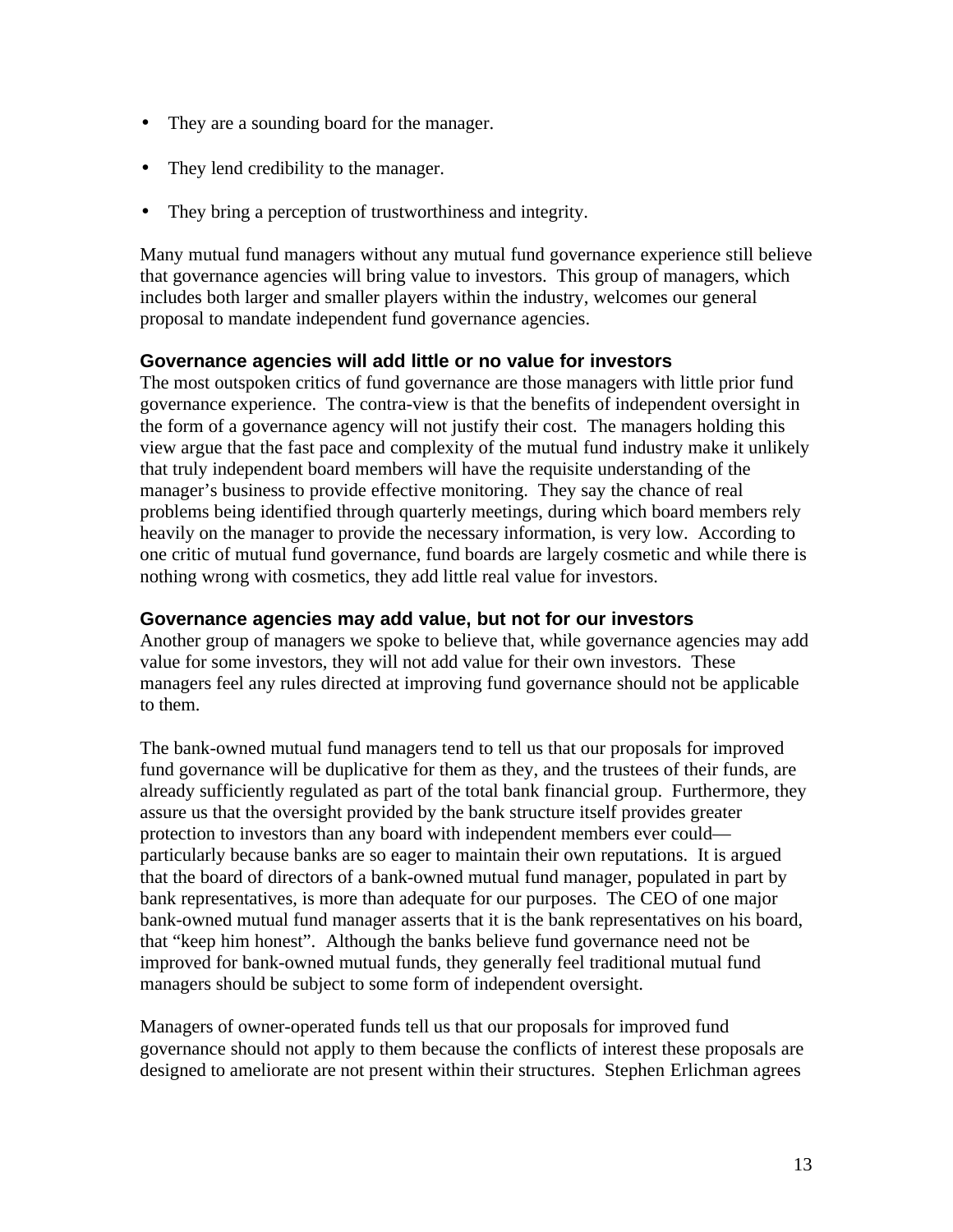- They are a sounding board for the manager.
- They lend credibility to the manager.
- They bring a perception of trustworthiness and integrity.

Many mutual fund managers without any mutual fund governance experience still believe that governance agencies will bring value to investors. This group of managers, which includes both larger and smaller players within the industry, welcomes our general proposal to mandate independent fund governance agencies.

#### **Governance agencies will add little or no value for investors**

The most outspoken critics of fund governance are those managers with little prior fund governance experience. The contra-view is that the benefits of independent oversight in the form of a governance agency will not justify their cost. The managers holding this view argue that the fast pace and complexity of the mutual fund industry make it unlikely that truly independent board members will have the requisite understanding of the manager's business to provide effective monitoring. They say the chance of real problems being identified through quarterly meetings, during which board members rely heavily on the manager to provide the necessary information, is very low. According to one critic of mutual fund governance, fund boards are largely cosmetic and while there is nothing wrong with cosmetics, they add little real value for investors.

#### **Governance agencies may add value, but not for our investors**

Another group of managers we spoke to believe that, while governance agencies may add value for some investors, they will not add value for their own investors. These managers feel any rules directed at improving fund governance should not be applicable to them.

The bank-owned mutual fund managers tend to tell us that our proposals for improved fund governance will be duplicative for them as they, and the trustees of their funds, are already sufficiently regulated as part of the total bank financial group. Furthermore, they assure us that the oversight provided by the bank structure itself provides greater protection to investors than any board with independent members ever could particularly because banks are so eager to maintain their own reputations. It is argued that the board of directors of a bank-owned mutual fund manager, populated in part by bank representatives, is more than adequate for our purposes. The CEO of one major bank-owned mutual fund manager asserts that it is the bank representatives on his board, that "keep him honest". Although the banks believe fund governance need not be improved for bank-owned mutual funds, they generally feel traditional mutual fund managers should be subject to some form of independent oversight.

Managers of owner-operated funds tell us that our proposals for improved fund governance should not apply to them because the conflicts of interest these proposals are designed to ameliorate are not present within their structures. Stephen Erlichman agrees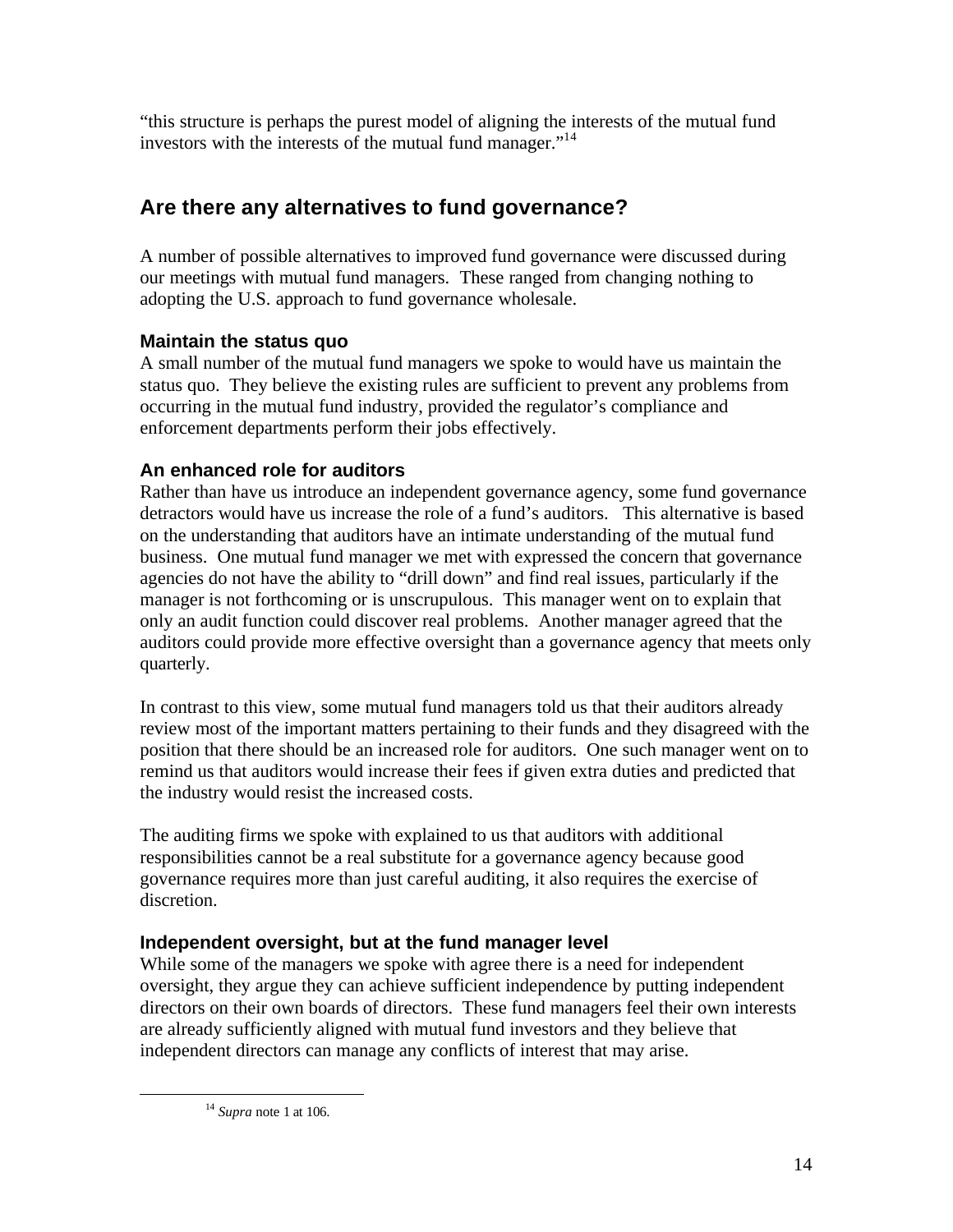"this structure is perhaps the purest model of aligning the interests of the mutual fund investors with the interests of the mutual fund manager."<sup>14</sup>

## **Are there any alternatives to fund governance?**

A number of possible alternatives to improved fund governance were discussed during our meetings with mutual fund managers. These ranged from changing nothing to adopting the U.S. approach to fund governance wholesale.

## **Maintain the status quo**

A small number of the mutual fund managers we spoke to would have us maintain the status quo. They believe the existing rules are sufficient to prevent any problems from occurring in the mutual fund industry, provided the regulator's compliance and enforcement departments perform their jobs effectively.

## **An enhanced role for auditors**

Rather than have us introduce an independent governance agency, some fund governance detractors would have us increase the role of a fund's auditors. This alternative is based on the understanding that auditors have an intimate understanding of the mutual fund business. One mutual fund manager we met with expressed the concern that governance agencies do not have the ability to "drill down" and find real issues, particularly if the manager is not forthcoming or is unscrupulous. This manager went on to explain that only an audit function could discover real problems. Another manager agreed that the auditors could provide more effective oversight than a governance agency that meets only quarterly.

In contrast to this view, some mutual fund managers told us that their auditors already review most of the important matters pertaining to their funds and they disagreed with the position that there should be an increased role for auditors. One such manager went on to remind us that auditors would increase their fees if given extra duties and predicted that the industry would resist the increased costs.

The auditing firms we spoke with explained to us that auditors with additional responsibilities cannot be a real substitute for a governance agency because good governance requires more than just careful auditing, it also requires the exercise of discretion.

## **Independent oversight, but at the fund manager level**

While some of the managers we spoke with agree there is a need for independent oversight, they argue they can achieve sufficient independence by putting independent directors on their own boards of directors. These fund managers feel their own interests are already sufficiently aligned with mutual fund investors and they believe that independent directors can manage any conflicts of interest that may arise.

<sup>14</sup> *Supra* note 1 at 106.

 $\overline{a}$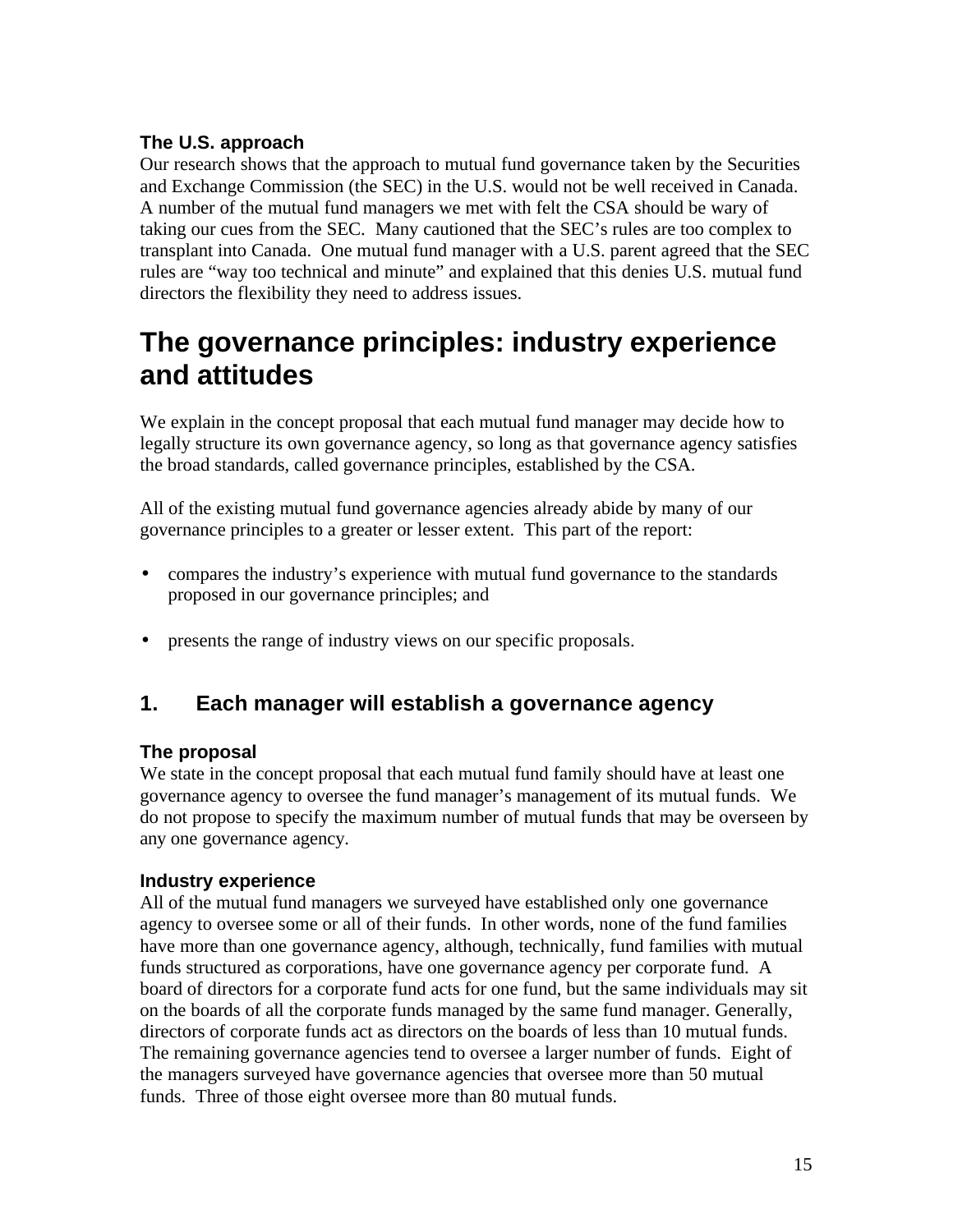#### **The U.S. approach**

Our research shows that the approach to mutual fund governance taken by the Securities and Exchange Commission (the SEC) in the U.S. would not be well received in Canada. A number of the mutual fund managers we met with felt the CSA should be wary of taking our cues from the SEC. Many cautioned that the SEC's rules are too complex to transplant into Canada. One mutual fund manager with a U.S. parent agreed that the SEC rules are "way too technical and minute" and explained that this denies U.S. mutual fund directors the flexibility they need to address issues.

## **The governance principles: industry experience and attitudes**

We explain in the concept proposal that each mutual fund manager may decide how to legally structure its own governance agency, so long as that governance agency satisfies the broad standards, called governance principles, established by the CSA.

All of the existing mutual fund governance agencies already abide by many of our governance principles to a greater or lesser extent. This part of the report:

- compares the industry's experience with mutual fund governance to the standards proposed in our governance principles; and
- presents the range of industry views on our specific proposals.

## **1. Each manager will establish a governance agency**

#### **The proposal**

We state in the concept proposal that each mutual fund family should have at least one governance agency to oversee the fund manager's management of its mutual funds. We do not propose to specify the maximum number of mutual funds that may be overseen by any one governance agency.

#### **Industry experience**

All of the mutual fund managers we surveyed have established only one governance agency to oversee some or all of their funds. In other words, none of the fund families have more than one governance agency, although, technically, fund families with mutual funds structured as corporations, have one governance agency per corporate fund. A board of directors for a corporate fund acts for one fund, but the same individuals may sit on the boards of all the corporate funds managed by the same fund manager. Generally, directors of corporate funds act as directors on the boards of less than 10 mutual funds. The remaining governance agencies tend to oversee a larger number of funds. Eight of the managers surveyed have governance agencies that oversee more than 50 mutual funds. Three of those eight oversee more than 80 mutual funds.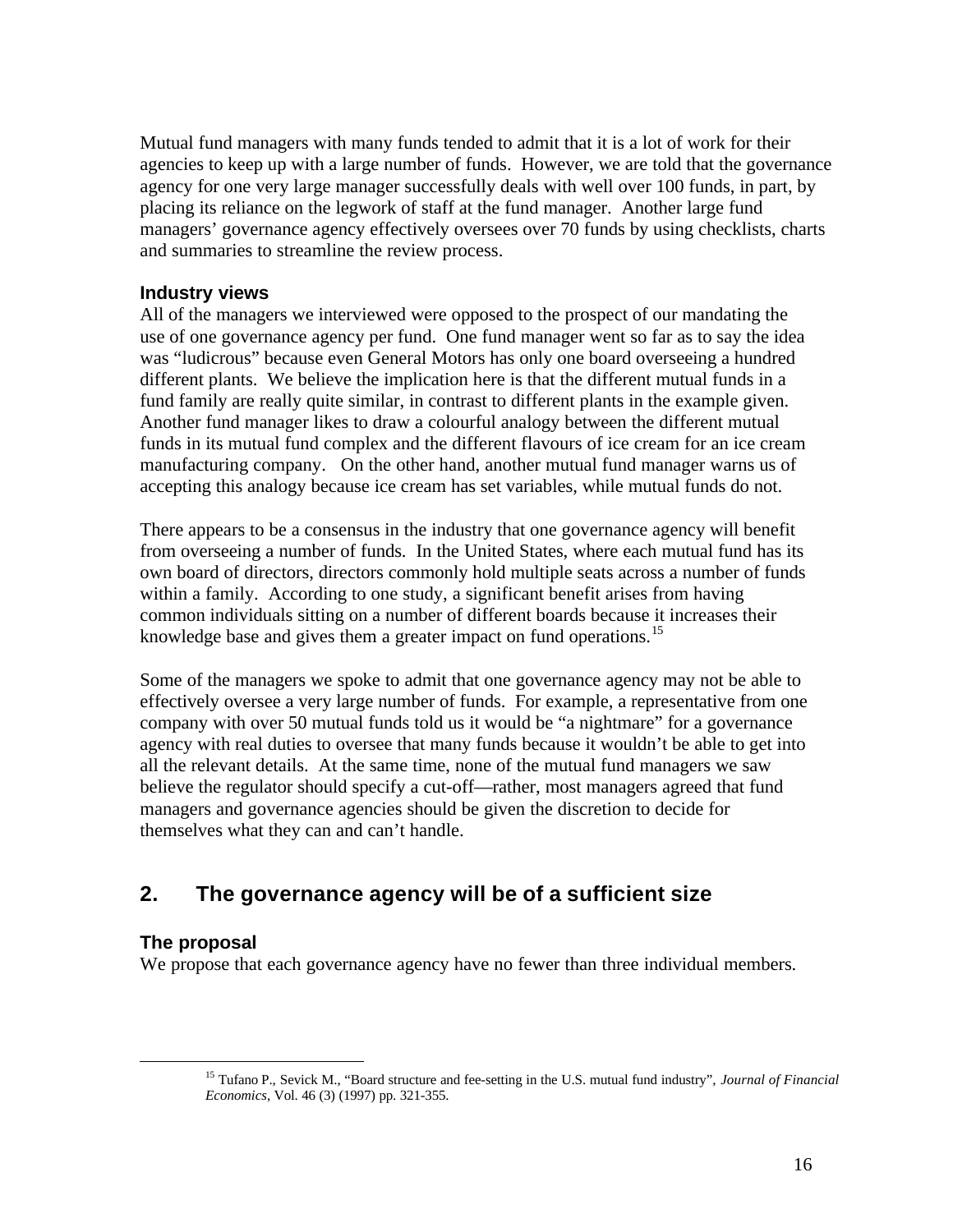Mutual fund managers with many funds tended to admit that it is a lot of work for their agencies to keep up with a large number of funds. However, we are told that the governance agency for one very large manager successfully deals with well over 100 funds, in part, by placing its reliance on the legwork of staff at the fund manager. Another large fund managers' governance agency effectively oversees over 70 funds by using checklists, charts and summaries to streamline the review process.

#### **Industry views**

All of the managers we interviewed were opposed to the prospect of our mandating the use of one governance agency per fund. One fund manager went so far as to say the idea was "ludicrous" because even General Motors has only one board overseeing a hundred different plants. We believe the implication here is that the different mutual funds in a fund family are really quite similar, in contrast to different plants in the example given. Another fund manager likes to draw a colourful analogy between the different mutual funds in its mutual fund complex and the different flavours of ice cream for an ice cream manufacturing company. On the other hand, another mutual fund manager warns us of accepting this analogy because ice cream has set variables, while mutual funds do not.

There appears to be a consensus in the industry that one governance agency will benefit from overseeing a number of funds. In the United States, where each mutual fund has its own board of directors, directors commonly hold multiple seats across a number of funds within a family. According to one study, a significant benefit arises from having common individuals sitting on a number of different boards because it increases their knowledge base and gives them a greater impact on fund operations.<sup>15</sup>

Some of the managers we spoke to admit that one governance agency may not be able to effectively oversee a very large number of funds. For example, a representative from one company with over 50 mutual funds told us it would be "a nightmare" for a governance agency with real duties to oversee that many funds because it wouldn't be able to get into all the relevant details. At the same time, none of the mutual fund managers we saw believe the regulator should specify a cut-off—rather, most managers agreed that fund managers and governance agencies should be given the discretion to decide for themselves what they can and can't handle.

## **2. The governance agency will be of a sufficient size**

#### **The proposal**

 $\overline{a}$ 

We propose that each governance agency have no fewer than three individual members.

<sup>15</sup> Tufano P., Sevick M., "Board structure and fee-setting in the U.S. mutual fund industry", *Journal of Financial Economics*, Vol. 46 (3) (1997) pp. 321-355.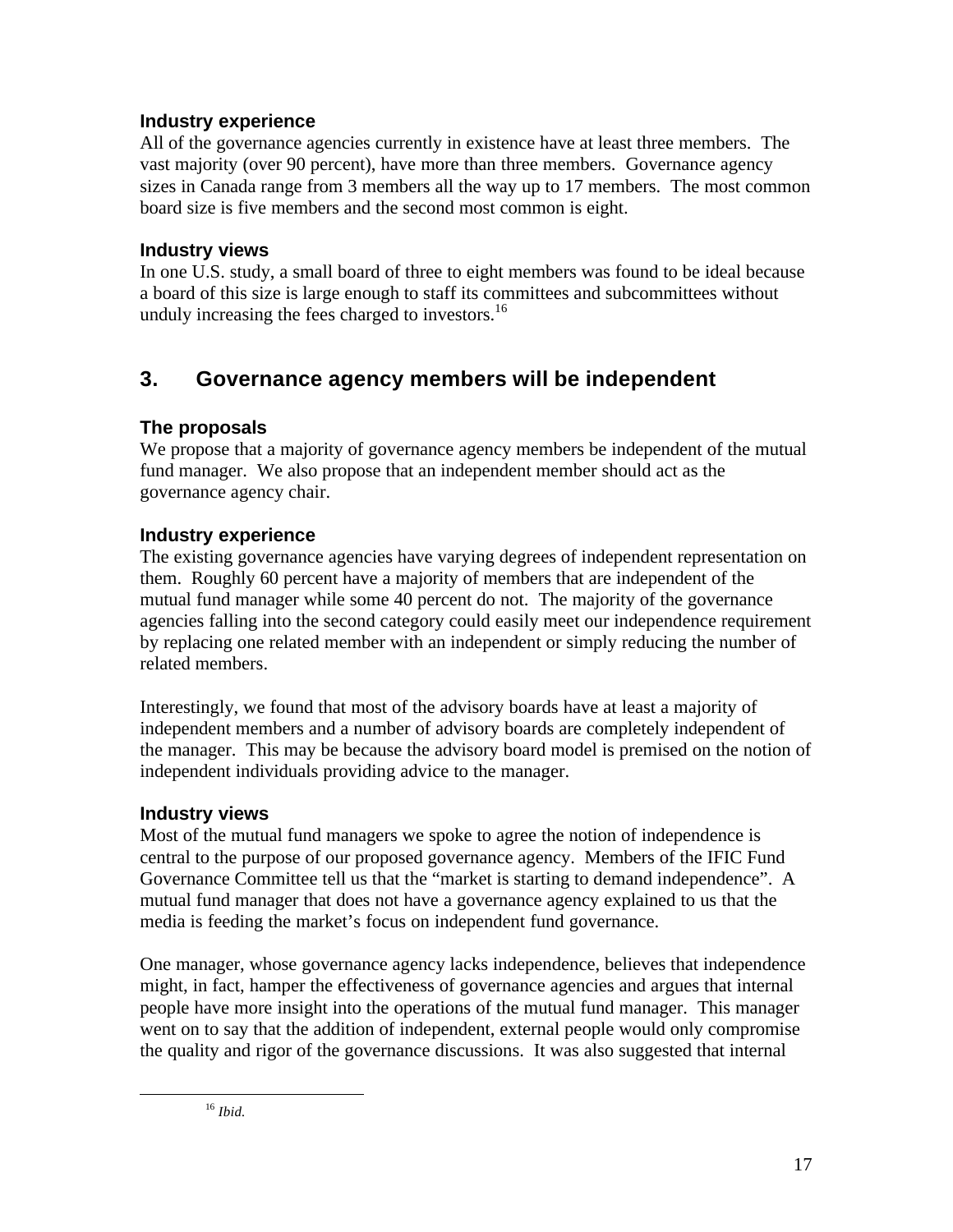## **Industry experience**

All of the governance agencies currently in existence have at least three members. The vast majority (over 90 percent), have more than three members. Governance agency sizes in Canada range from 3 members all the way up to 17 members. The most common board size is five members and the second most common is eight.

#### **Industry views**

In one U.S. study, a small board of three to eight members was found to be ideal because a board of this size is large enough to staff its committees and subcommittees without unduly increasing the fees charged to investors.<sup>16</sup>

## **3. Governance agency members will be independent**

## **The proposals**

We propose that a majority of governance agency members be independent of the mutual fund manager. We also propose that an independent member should act as the governance agency chair.

## **Industry experience**

The existing governance agencies have varying degrees of independent representation on them. Roughly 60 percent have a majority of members that are independent of the mutual fund manager while some 40 percent do not. The majority of the governance agencies falling into the second category could easily meet our independence requirement by replacing one related member with an independent or simply reducing the number of related members.

Interestingly, we found that most of the advisory boards have at least a majority of independent members and a number of advisory boards are completely independent of the manager. This may be because the advisory board model is premised on the notion of independent individuals providing advice to the manager.

## **Industry views**

Most of the mutual fund managers we spoke to agree the notion of independence is central to the purpose of our proposed governance agency. Members of the IFIC Fund Governance Committee tell us that the "market is starting to demand independence". A mutual fund manager that does not have a governance agency explained to us that the media is feeding the market's focus on independent fund governance.

One manager, whose governance agency lacks independence, believes that independence might, in fact, hamper the effectiveness of governance agencies and argues that internal people have more insight into the operations of the mutual fund manager. This manager went on to say that the addition of independent, external people would only compromise the quality and rigor of the governance discussions. It was also suggested that internal

 $\overline{a}$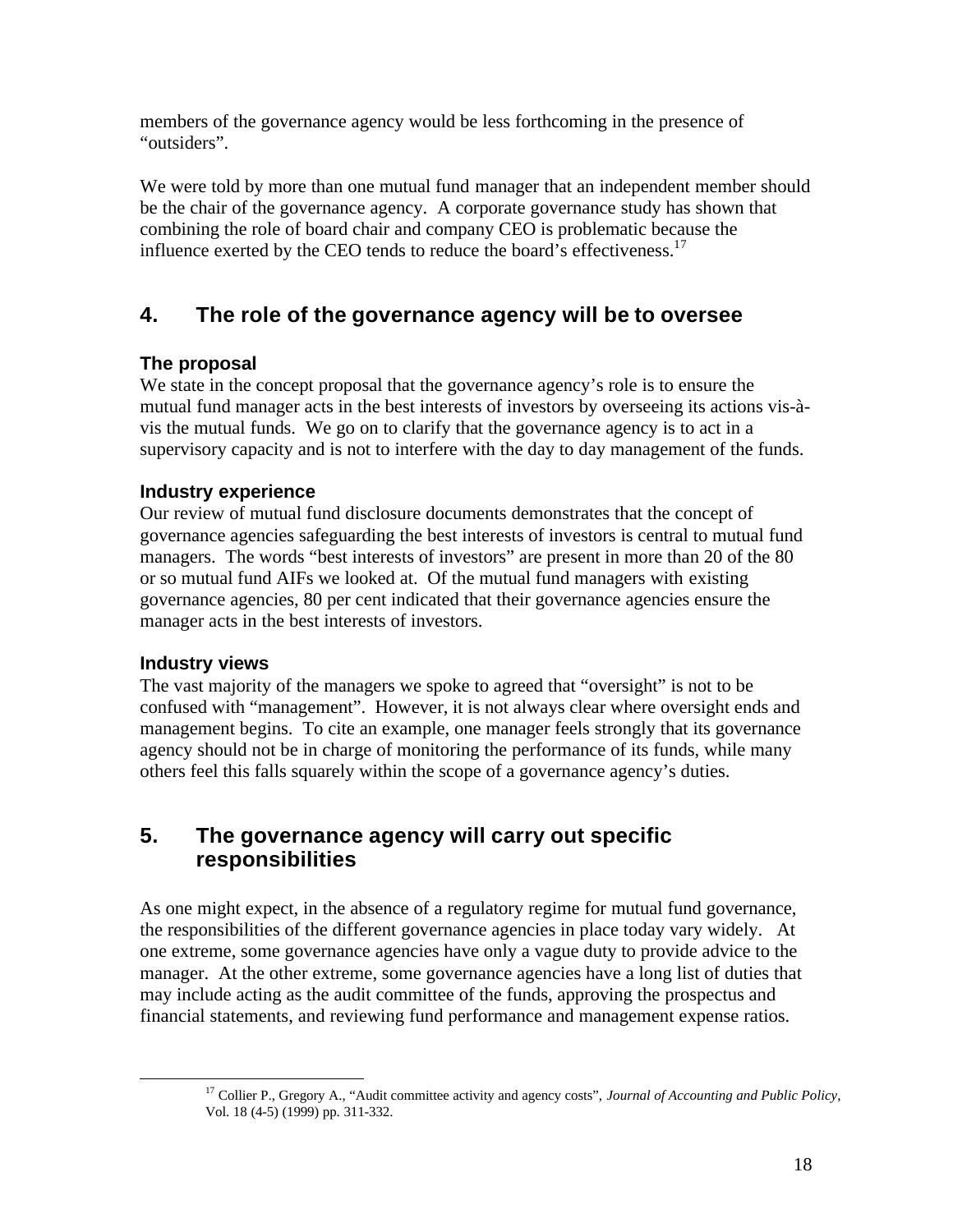members of the governance agency would be less forthcoming in the presence of "outsiders".

We were told by more than one mutual fund manager that an independent member should be the chair of the governance agency. A corporate governance study has shown that combining the role of board chair and company CEO is problematic because the influence exerted by the CEO tends to reduce the board's effectiveness. $17$ 

## **4. The role of the governance agency will be to oversee**

## **The proposal**

We state in the concept proposal that the governance agency's role is to ensure the mutual fund manager acts in the best interests of investors by overseeing its actions vis-àvis the mutual funds. We go on to clarify that the governance agency is to act in a supervisory capacity and is not to interfere with the day to day management of the funds.

## **Industry experience**

Our review of mutual fund disclosure documents demonstrates that the concept of governance agencies safeguarding the best interests of investors is central to mutual fund managers. The words "best interests of investors" are present in more than 20 of the 80 or so mutual fund AIFs we looked at. Of the mutual fund managers with existing governance agencies, 80 per cent indicated that their governance agencies ensure the manager acts in the best interests of investors.

## **Industry views**

The vast majority of the managers we spoke to agreed that "oversight" is not to be confused with "management". However, it is not always clear where oversight ends and management begins. To cite an example, one manager feels strongly that its governance agency should not be in charge of monitoring the performance of its funds, while many others feel this falls squarely within the scope of a governance agency's duties.

## **5. The governance agency will carry out specific responsibilities**

As one might expect, in the absence of a regulatory regime for mutual fund governance, the responsibilities of the different governance agencies in place today vary widely. At one extreme, some governance agencies have only a vague duty to provide advice to the manager. At the other extreme, some governance agencies have a long list of duties that may include acting as the audit committee of the funds, approving the prospectus and financial statements, and reviewing fund performance and management expense ratios.

 <sup>17</sup> Collier P., Gregory A., "Audit committee activity and agency costs", *Journal of Accounting and Public Policy*, Vol. 18 (4-5) (1999) pp. 311-332.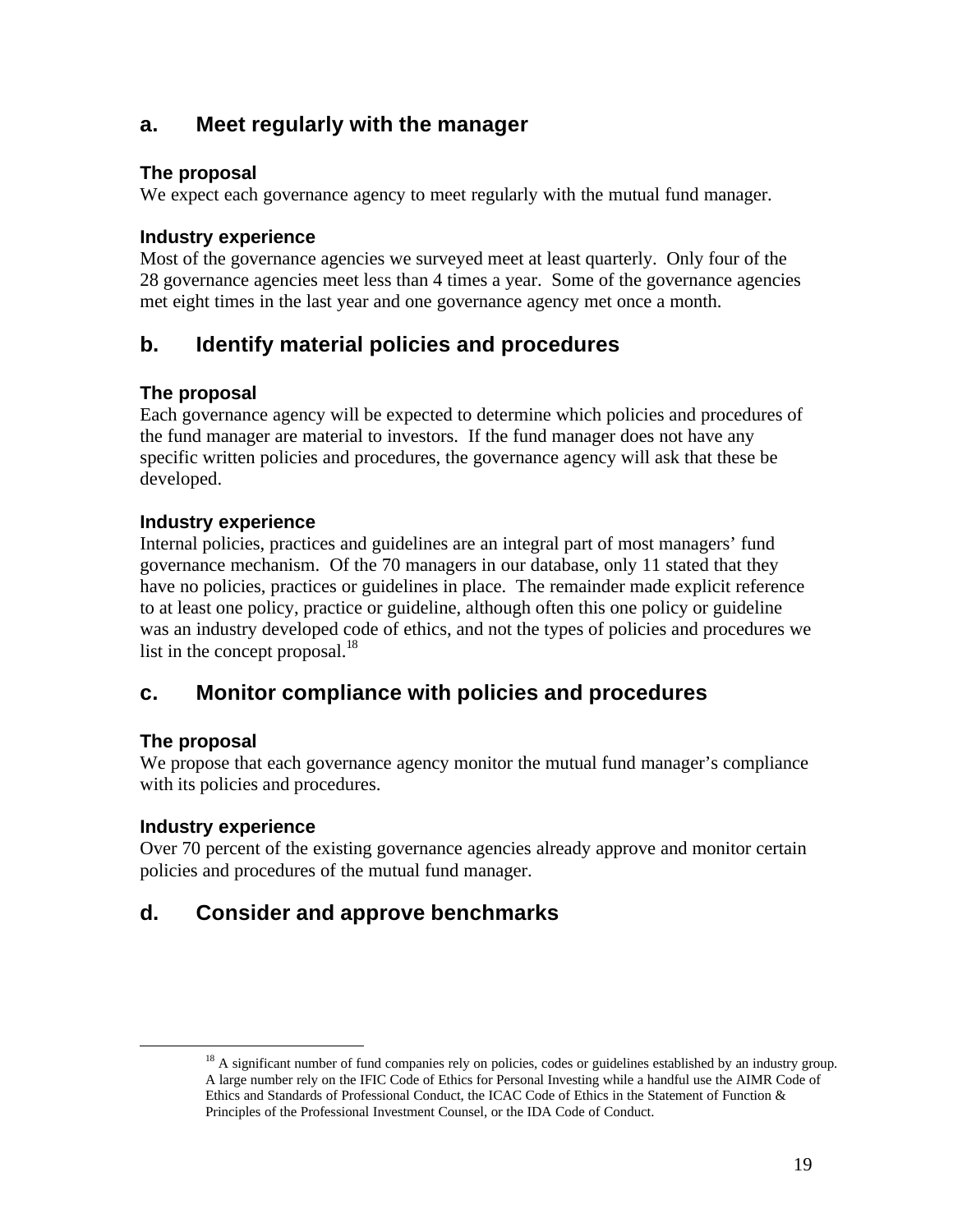## **a. Meet regularly with the manager**

## **The proposal**

We expect each governance agency to meet regularly with the mutual fund manager.

## **Industry experience**

Most of the governance agencies we surveyed meet at least quarterly. Only four of the 28 governance agencies meet less than 4 times a year. Some of the governance agencies met eight times in the last year and one governance agency met once a month.

## **b. Identify material policies and procedures**

## **The proposal**

Each governance agency will be expected to determine which policies and procedures of the fund manager are material to investors. If the fund manager does not have any specific written policies and procedures, the governance agency will ask that these be developed.

## **Industry experience**

Internal policies, practices and guidelines are an integral part of most managers' fund governance mechanism. Of the 70 managers in our database, only 11 stated that they have no policies, practices or guidelines in place. The remainder made explicit reference to at least one policy, practice or guideline, although often this one policy or guideline was an industry developed code of ethics, and not the types of policies and procedures we list in the concept proposal. $^{18}$ 

## **c. Monitor compliance with policies and procedures**

## **The proposal**

 $\overline{a}$ 

We propose that each governance agency monitor the mutual fund manager's compliance with its policies and procedures.

## **Industry experience**

Over 70 percent of the existing governance agencies already approve and monitor certain policies and procedures of the mutual fund manager.

## **d. Consider and approve benchmarks**

 $18$  A significant number of fund companies rely on policies, codes or guidelines established by an industry group. A large number rely on the IFIC Code of Ethics for Personal Investing while a handful use the AIMR Code of Ethics and Standards of Professional Conduct, the ICAC Code of Ethics in the Statement of Function & Principles of the Professional Investment Counsel, or the IDA Code of Conduct.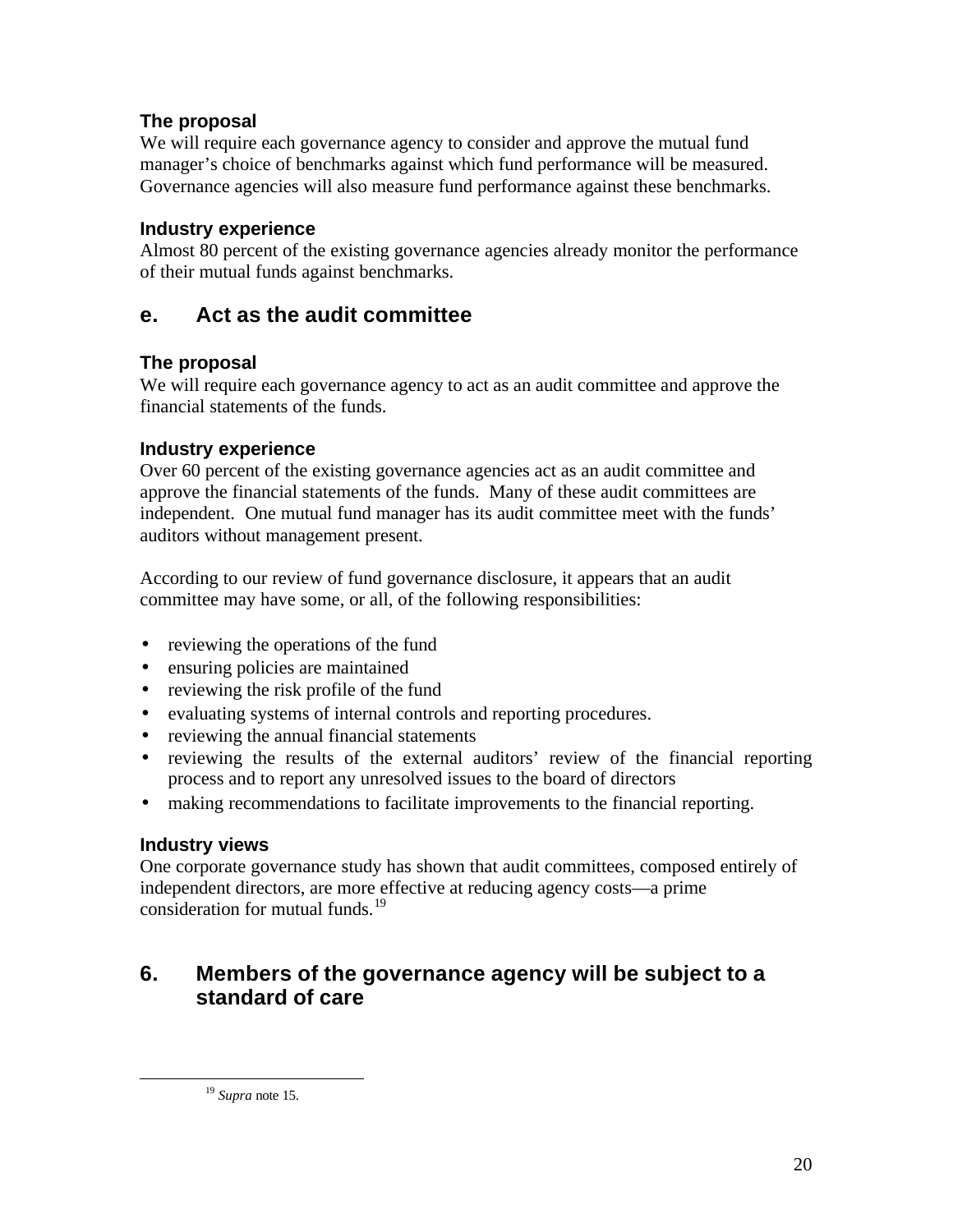## **The proposal**

We will require each governance agency to consider and approve the mutual fund manager's choice of benchmarks against which fund performance will be measured. Governance agencies will also measure fund performance against these benchmarks.

#### **Industry experience**

Almost 80 percent of the existing governance agencies already monitor the performance of their mutual funds against benchmarks.

## **e. Act as the audit committee**

## **The proposal**

We will require each governance agency to act as an audit committee and approve the financial statements of the funds.

## **Industry experience**

Over 60 percent of the existing governance agencies act as an audit committee and approve the financial statements of the funds. Many of these audit committees are independent. One mutual fund manager has its audit committee meet with the funds' auditors without management present.

According to our review of fund governance disclosure, it appears that an audit committee may have some, or all, of the following responsibilities:

- reviewing the operations of the fund
- ensuring policies are maintained
- reviewing the risk profile of the fund
- evaluating systems of internal controls and reporting procedures.
- reviewing the annual financial statements
- reviewing the results of the external auditors' review of the financial reporting process and to report any unresolved issues to the board of directors
- making recommendations to facilitate improvements to the financial reporting.

## **Industry views**

 $\overline{a}$ 

One corporate governance study has shown that audit committees, composed entirely of independent directors, are more effective at reducing agency costs—a prime consideration for mutual funds.<sup>19</sup>

## **6. Members of the governance agency will be subject to a standard of care**

<sup>19</sup> *Supra* note 15.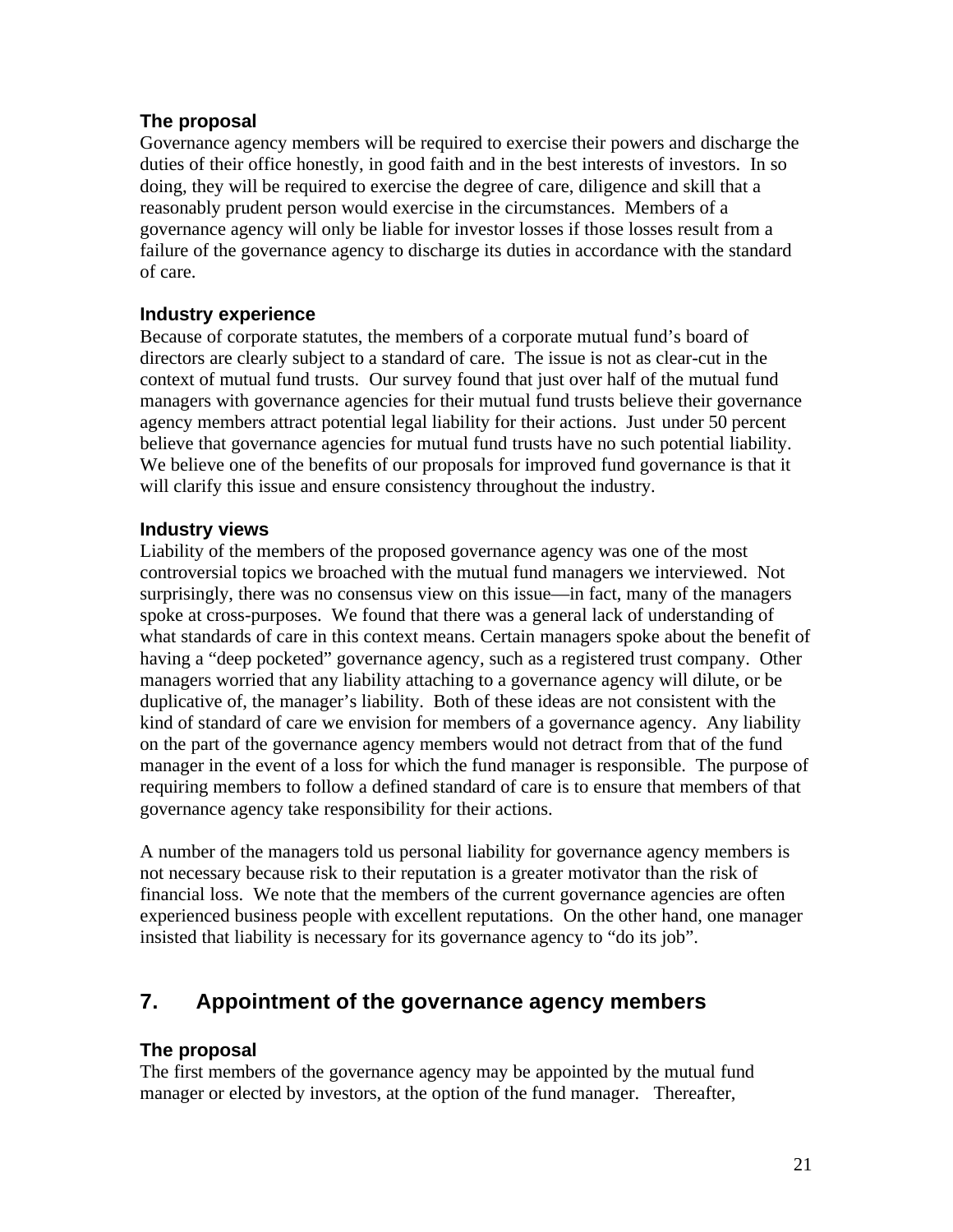## **The proposal**

Governance agency members will be required to exercise their powers and discharge the duties of their office honestly, in good faith and in the best interests of investors. In so doing, they will be required to exercise the degree of care, diligence and skill that a reasonably prudent person would exercise in the circumstances. Members of a governance agency will only be liable for investor losses if those losses result from a failure of the governance agency to discharge its duties in accordance with the standard of care.

#### **Industry experience**

Because of corporate statutes, the members of a corporate mutual fund's board of directors are clearly subject to a standard of care. The issue is not as clear-cut in the context of mutual fund trusts. Our survey found that just over half of the mutual fund managers with governance agencies for their mutual fund trusts believe their governance agency members attract potential legal liability for their actions. Just under 50 percent believe that governance agencies for mutual fund trusts have no such potential liability. We believe one of the benefits of our proposals for improved fund governance is that it will clarify this issue and ensure consistency throughout the industry.

#### **Industry views**

Liability of the members of the proposed governance agency was one of the most controversial topics we broached with the mutual fund managers we interviewed. Not surprisingly, there was no consensus view on this issue—in fact, many of the managers spoke at cross-purposes. We found that there was a general lack of understanding of what standards of care in this context means. Certain managers spoke about the benefit of having a "deep pocketed" governance agency, such as a registered trust company. Other managers worried that any liability attaching to a governance agency will dilute, or be duplicative of, the manager's liability. Both of these ideas are not consistent with the kind of standard of care we envision for members of a governance agency. Any liability on the part of the governance agency members would not detract from that of the fund manager in the event of a loss for which the fund manager is responsible. The purpose of requiring members to follow a defined standard of care is to ensure that members of that governance agency take responsibility for their actions.

A number of the managers told us personal liability for governance agency members is not necessary because risk to their reputation is a greater motivator than the risk of financial loss. We note that the members of the current governance agencies are often experienced business people with excellent reputations. On the other hand, one manager insisted that liability is necessary for its governance agency to "do its job".

## **7. Appointment of the governance agency members**

#### **The proposal**

The first members of the governance agency may be appointed by the mutual fund manager or elected by investors, at the option of the fund manager. Thereafter,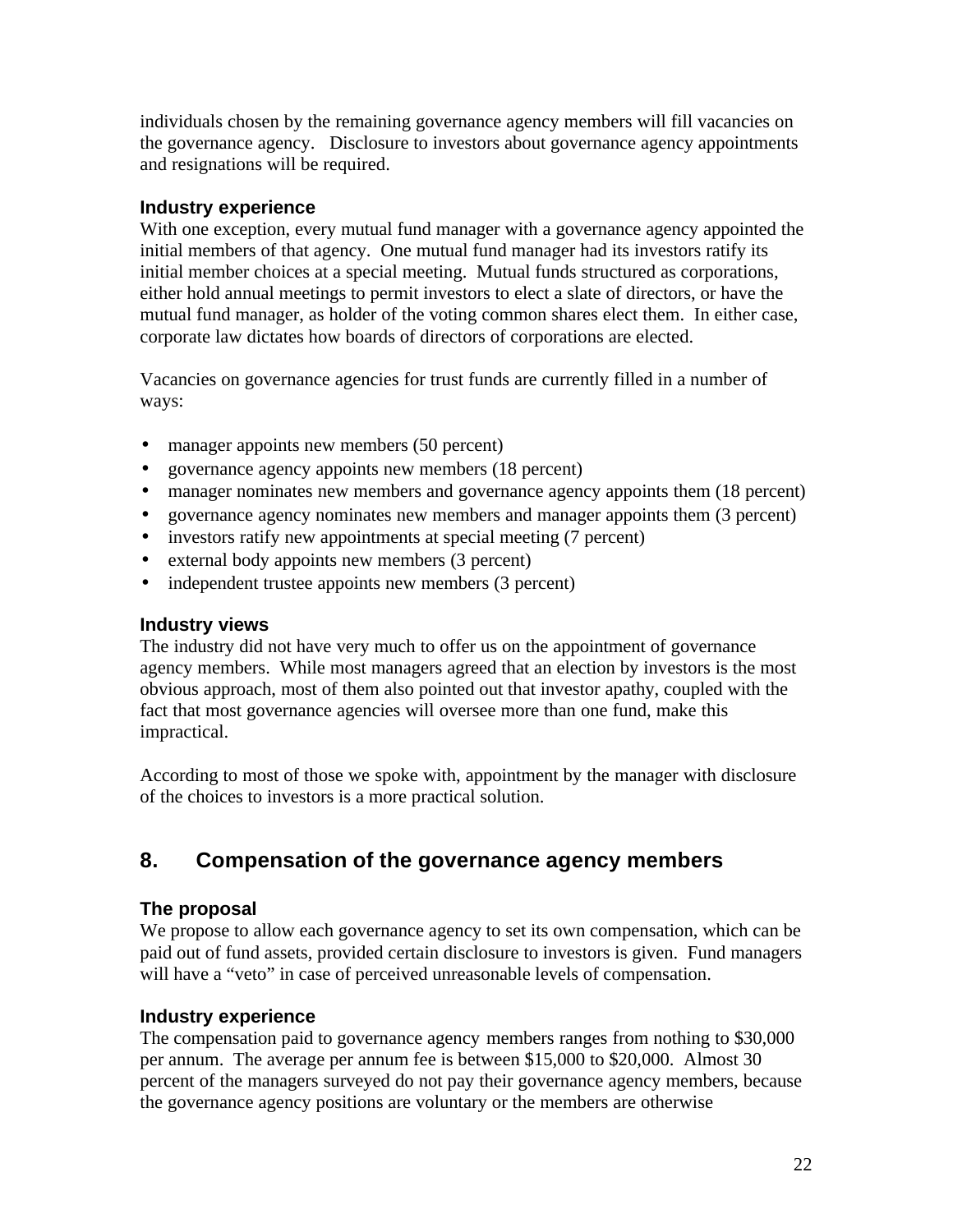individuals chosen by the remaining governance agency members will fill vacancies on the governance agency. Disclosure to investors about governance agency appointments and resignations will be required.

#### **Industry experience**

With one exception, every mutual fund manager with a governance agency appointed the initial members of that agency. One mutual fund manager had its investors ratify its initial member choices at a special meeting. Mutual funds structured as corporations, either hold annual meetings to permit investors to elect a slate of directors, or have the mutual fund manager, as holder of the voting common shares elect them. In either case, corporate law dictates how boards of directors of corporations are elected.

Vacancies on governance agencies for trust funds are currently filled in a number of ways:

- manager appoints new members (50 percent)
- governance agency appoints new members (18 percent)
- manager nominates new members and governance agency appoints them (18 percent)
- governance agency nominates new members and manager appoints them (3 percent)
- investors ratify new appointments at special meeting (7 percent)
- external body appoints new members (3 percent)
- independent trustee appoints new members (3 percent)

#### **Industry views**

The industry did not have very much to offer us on the appointment of governance agency members. While most managers agreed that an election by investors is the most obvious approach, most of them also pointed out that investor apathy, coupled with the fact that most governance agencies will oversee more than one fund, make this impractical.

According to most of those we spoke with, appointment by the manager with disclosure of the choices to investors is a more practical solution.

## **8. Compensation of the governance agency members**

## **The proposal**

We propose to allow each governance agency to set its own compensation, which can be paid out of fund assets, provided certain disclosure to investors is given. Fund managers will have a "veto" in case of perceived unreasonable levels of compensation.

## **Industry experience**

The compensation paid to governance agency members ranges from nothing to \$30,000 per annum. The average per annum fee is between \$15,000 to \$20,000. Almost 30 percent of the managers surveyed do not pay their governance agency members, because the governance agency positions are voluntary or the members are otherwise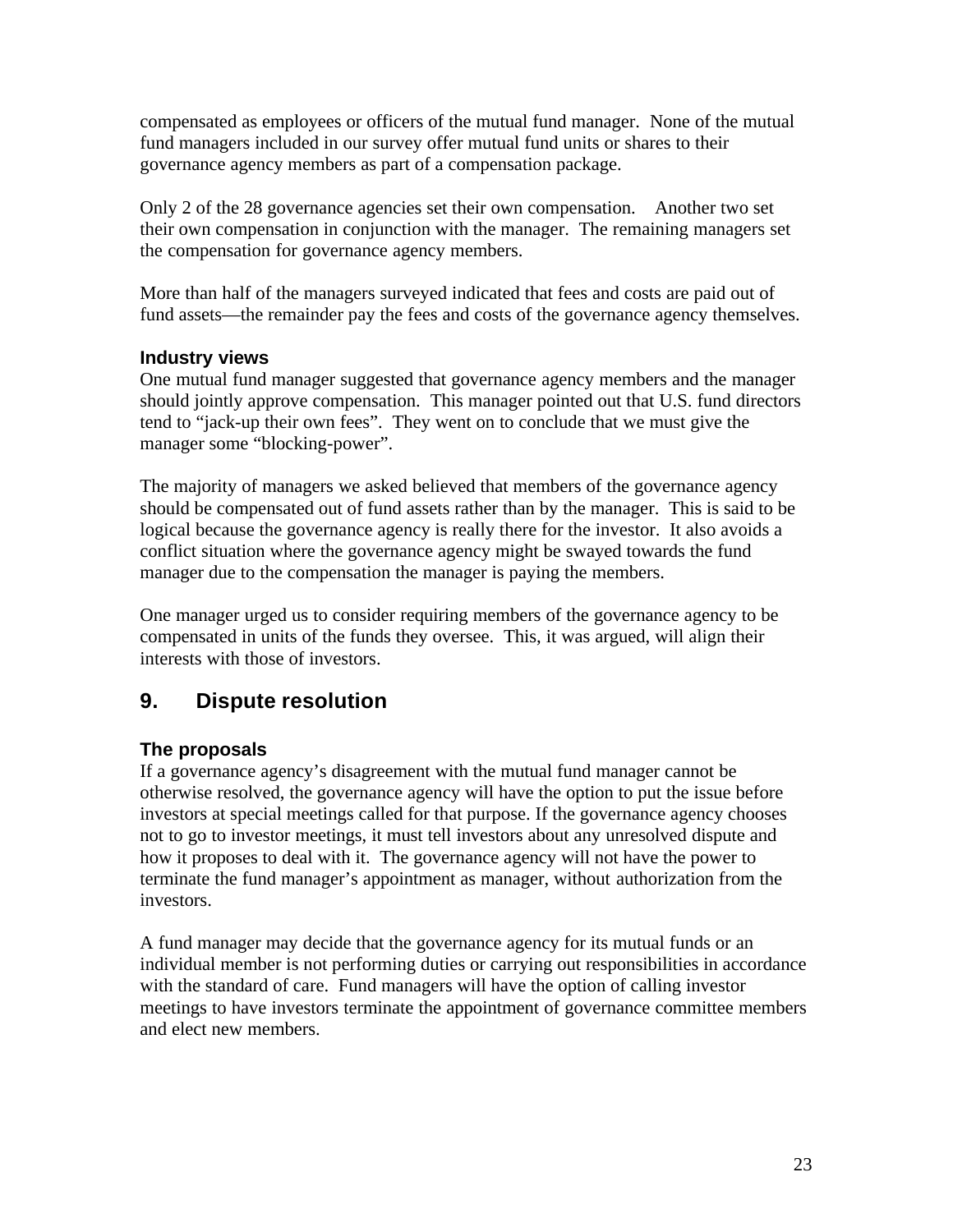compensated as employees or officers of the mutual fund manager. None of the mutual fund managers included in our survey offer mutual fund units or shares to their governance agency members as part of a compensation package.

Only 2 of the 28 governance agencies set their own compensation. Another two set their own compensation in conjunction with the manager. The remaining managers set the compensation for governance agency members.

More than half of the managers surveyed indicated that fees and costs are paid out of fund assets—the remainder pay the fees and costs of the governance agency themselves.

#### **Industry views**

One mutual fund manager suggested that governance agency members and the manager should jointly approve compensation. This manager pointed out that U.S. fund directors tend to "jack-up their own fees". They went on to conclude that we must give the manager some "blocking-power".

The majority of managers we asked believed that members of the governance agency should be compensated out of fund assets rather than by the manager. This is said to be logical because the governance agency is really there for the investor. It also avoids a conflict situation where the governance agency might be swayed towards the fund manager due to the compensation the manager is paying the members.

One manager urged us to consider requiring members of the governance agency to be compensated in units of the funds they oversee. This, it was argued, will align their interests with those of investors.

## **9. Dispute resolution**

## **The proposals**

If a governance agency's disagreement with the mutual fund manager cannot be otherwise resolved, the governance agency will have the option to put the issue before investors at special meetings called for that purpose. If the governance agency chooses not to go to investor meetings, it must tell investors about any unresolved dispute and how it proposes to deal with it. The governance agency will not have the power to terminate the fund manager's appointment as manager, without authorization from the investors.

A fund manager may decide that the governance agency for its mutual funds or an individual member is not performing duties or carrying out responsibilities in accordance with the standard of care. Fund managers will have the option of calling investor meetings to have investors terminate the appointment of governance committee members and elect new members.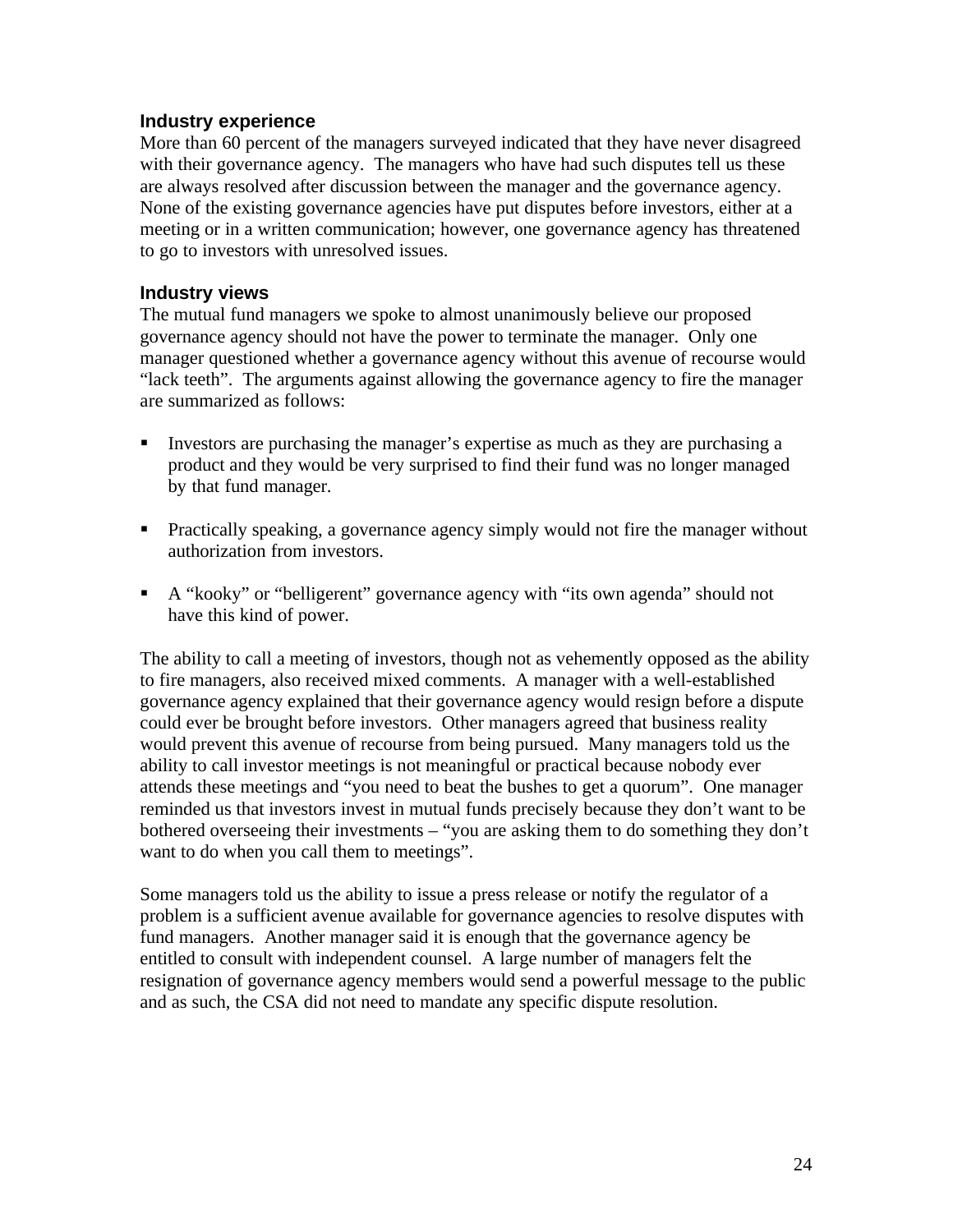#### **Industry experience**

More than 60 percent of the managers surveyed indicated that they have never disagreed with their governance agency. The managers who have had such disputes tell us these are always resolved after discussion between the manager and the governance agency. None of the existing governance agencies have put disputes before investors, either at a meeting or in a written communication; however, one governance agency has threatened to go to investors with unresolved issues.

#### **Industry views**

The mutual fund managers we spoke to almost unanimously believe our proposed governance agency should not have the power to terminate the manager. Only one manager questioned whether a governance agency without this avenue of recourse would "lack teeth". The arguments against allowing the governance agency to fire the manager are summarized as follows:

- Investors are purchasing the manager's expertise as much as they are purchasing a product and they would be very surprised to find their fund was no longer managed by that fund manager.
- Practically speaking, a governance agency simply would not fire the manager without authorization from investors.
- A "kooky" or "belligerent" governance agency with "its own agenda" should not have this kind of power.

The ability to call a meeting of investors, though not as vehemently opposed as the ability to fire managers, also received mixed comments. A manager with a well-established governance agency explained that their governance agency would resign before a dispute could ever be brought before investors. Other managers agreed that business reality would prevent this avenue of recourse from being pursued. Many managers told us the ability to call investor meetings is not meaningful or practical because nobody ever attends these meetings and "you need to beat the bushes to get a quorum". One manager reminded us that investors invest in mutual funds precisely because they don't want to be bothered overseeing their investments – "you are asking them to do something they don't want to do when you call them to meetings".

Some managers told us the ability to issue a press release or notify the regulator of a problem is a sufficient avenue available for governance agencies to resolve disputes with fund managers. Another manager said it is enough that the governance agency be entitled to consult with independent counsel. A large number of managers felt the resignation of governance agency members would send a powerful message to the public and as such, the CSA did not need to mandate any specific dispute resolution.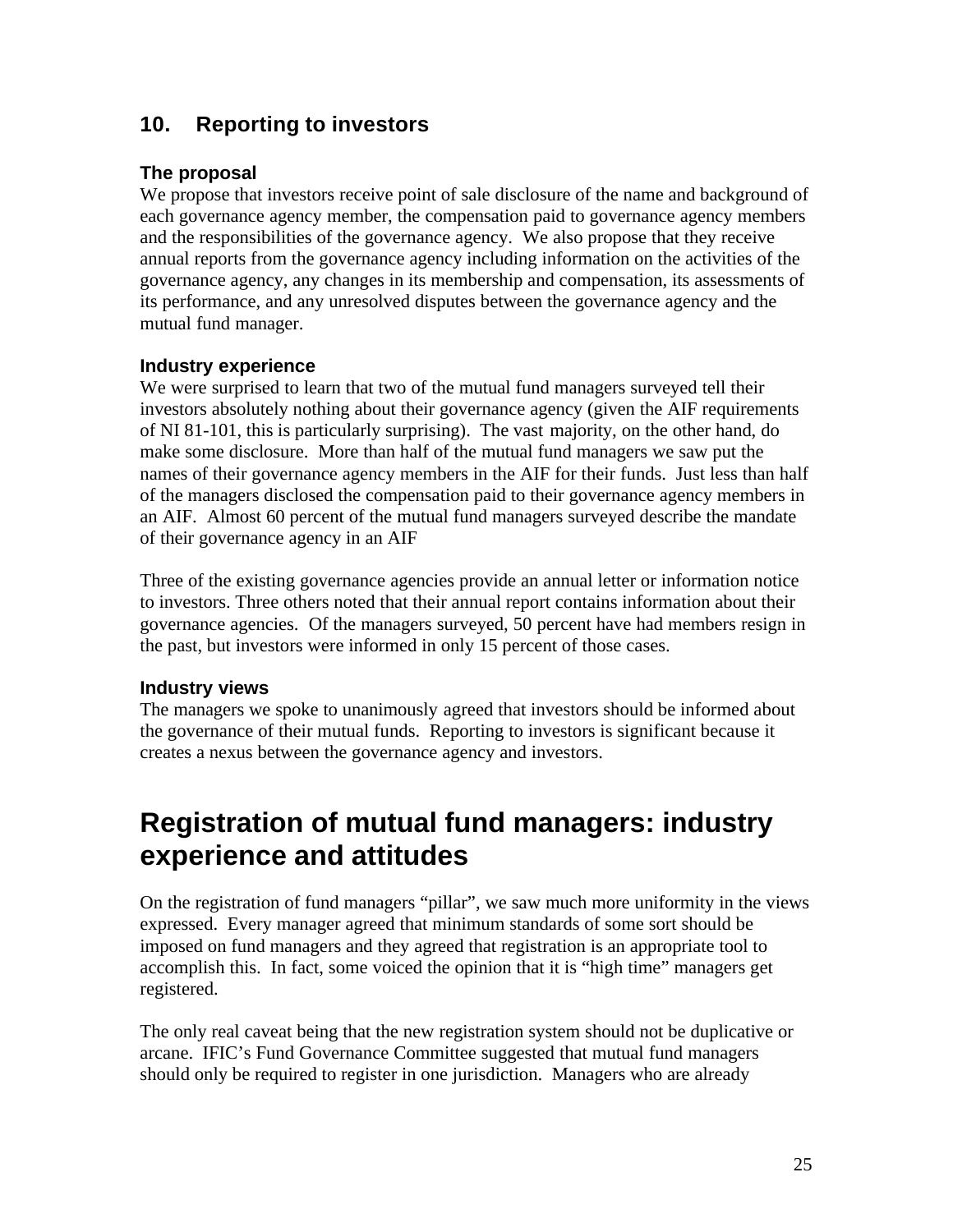## **10. Reporting to investors**

#### **The proposal**

We propose that investors receive point of sale disclosure of the name and background of each governance agency member, the compensation paid to governance agency members and the responsibilities of the governance agency. We also propose that they receive annual reports from the governance agency including information on the activities of the governance agency, any changes in its membership and compensation, its assessments of its performance, and any unresolved disputes between the governance agency and the mutual fund manager.

#### **Industry experience**

We were surprised to learn that two of the mutual fund managers surveyed tell their investors absolutely nothing about their governance agency (given the AIF requirements of NI 81-101, this is particularly surprising). The vast majority, on the other hand, do make some disclosure. More than half of the mutual fund managers we saw put the names of their governance agency members in the AIF for their funds. Just less than half of the managers disclosed the compensation paid to their governance agency members in an AIF. Almost 60 percent of the mutual fund managers surveyed describe the mandate of their governance agency in an AIF

Three of the existing governance agencies provide an annual letter or information notice to investors. Three others noted that their annual report contains information about their governance agencies. Of the managers surveyed, 50 percent have had members resign in the past, but investors were informed in only 15 percent of those cases.

#### **Industry views**

The managers we spoke to unanimously agreed that investors should be informed about the governance of their mutual funds. Reporting to investors is significant because it creates a nexus between the governance agency and investors.

## **Registration of mutual fund managers: industry experience and attitudes**

On the registration of fund managers "pillar", we saw much more uniformity in the views expressed. Every manager agreed that minimum standards of some sort should be imposed on fund managers and they agreed that registration is an appropriate tool to accomplish this. In fact, some voiced the opinion that it is "high time" managers get registered.

The only real caveat being that the new registration system should not be duplicative or arcane. IFIC's Fund Governance Committee suggested that mutual fund managers should only be required to register in one jurisdiction. Managers who are already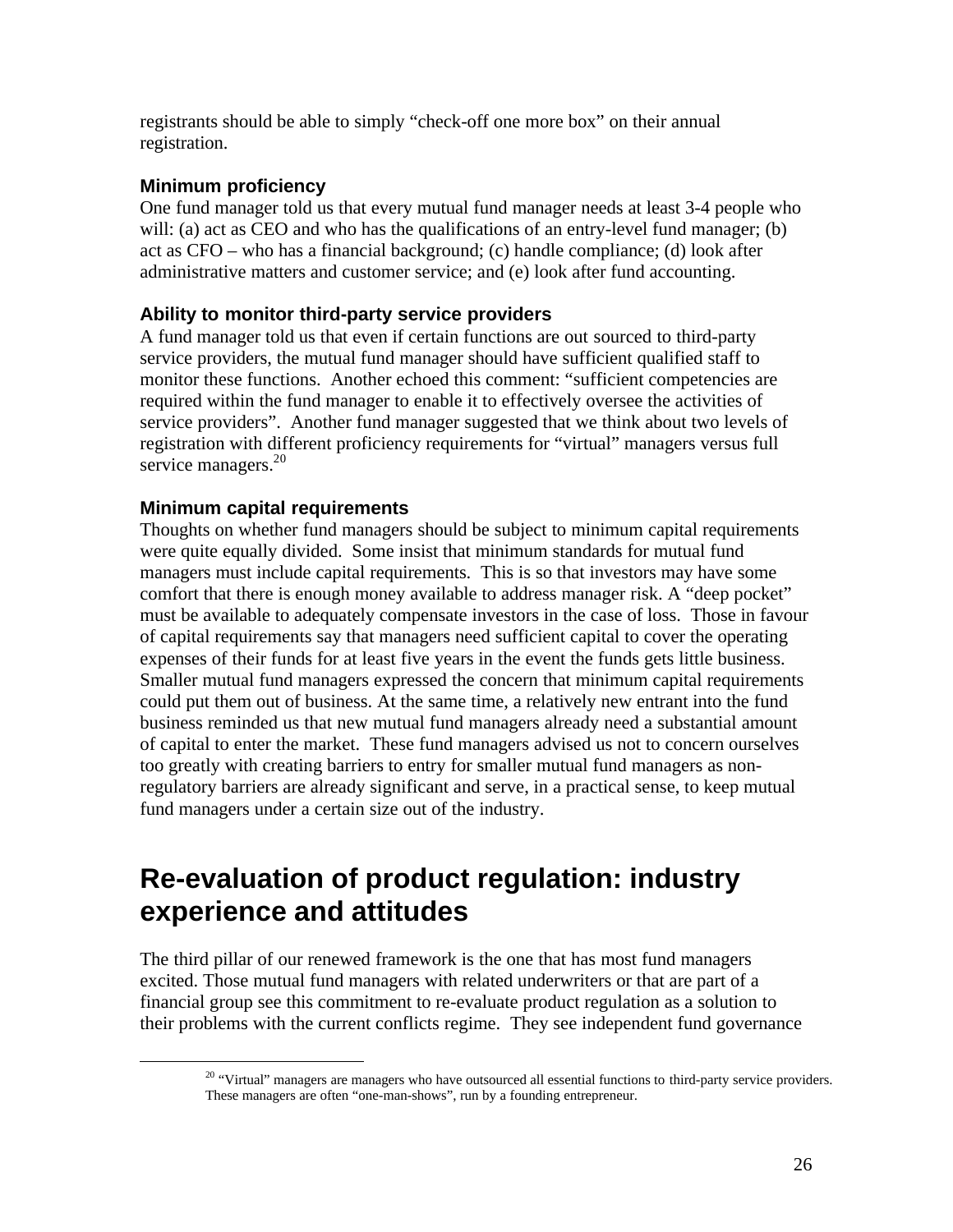registrants should be able to simply "check-off one more box" on their annual registration.

#### **Minimum proficiency**

One fund manager told us that every mutual fund manager needs at least 3-4 people who will: (a) act as CEO and who has the qualifications of an entry-level fund manager; (b) act as CFO – who has a financial background; (c) handle compliance; (d) look after administrative matters and customer service; and (e) look after fund accounting.

#### **Ability to monitor third-party service providers**

A fund manager told us that even if certain functions are out sourced to third-party service providers, the mutual fund manager should have sufficient qualified staff to monitor these functions. Another echoed this comment: "sufficient competencies are required within the fund manager to enable it to effectively oversee the activities of service providers". Another fund manager suggested that we think about two levels of registration with different proficiency requirements for "virtual" managers versus full service managers.<sup>20</sup>

#### **Minimum capital requirements**

Thoughts on whether fund managers should be subject to minimum capital requirements were quite equally divided. Some insist that minimum standards for mutual fund managers must include capital requirements. This is so that investors may have some comfort that there is enough money available to address manager risk. A "deep pocket" must be available to adequately compensate investors in the case of loss. Those in favour of capital requirements say that managers need sufficient capital to cover the operating expenses of their funds for at least five years in the event the funds gets little business. Smaller mutual fund managers expressed the concern that minimum capital requirements could put them out of business. At the same time, a relatively new entrant into the fund business reminded us that new mutual fund managers already need a substantial amount of capital to enter the market. These fund managers advised us not to concern ourselves too greatly with creating barriers to entry for smaller mutual fund managers as nonregulatory barriers are already significant and serve, in a practical sense, to keep mutual fund managers under a certain size out of the industry.

## **Re-evaluation of product regulation: industry experience and attitudes**

The third pillar of our renewed framework is the one that has most fund managers excited. Those mutual fund managers with related underwriters or that are part of a financial group see this commitment to re-evaluate product regulation as a solution to their problems with the current conflicts regime. They see independent fund governance

<sup>&</sup>lt;sup>20</sup> "Virtual" managers are managers who have outsourced all essential functions to third-party service providers. These managers are often "one-man-shows", run by a founding entrepreneur.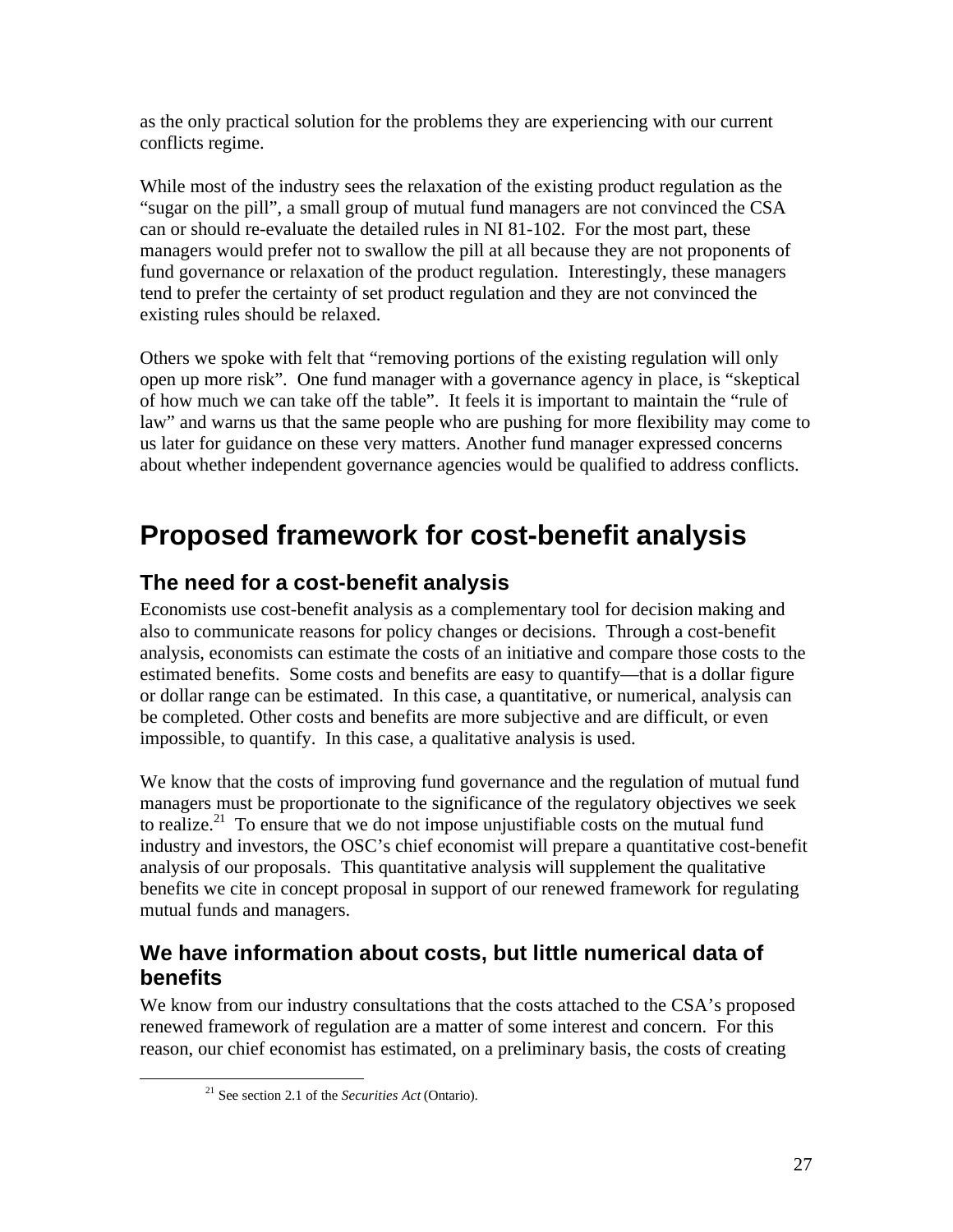as the only practical solution for the problems they are experiencing with our current conflicts regime.

While most of the industry sees the relaxation of the existing product regulation as the "sugar on the pill", a small group of mutual fund managers are not convinced the CSA can or should re-evaluate the detailed rules in NI 81-102. For the most part, these managers would prefer not to swallow the pill at all because they are not proponents of fund governance or relaxation of the product regulation. Interestingly, these managers tend to prefer the certainty of set product regulation and they are not convinced the existing rules should be relaxed.

Others we spoke with felt that "removing portions of the existing regulation will only open up more risk". One fund manager with a governance agency in place, is "skeptical of how much we can take off the table". It feels it is important to maintain the "rule of law" and warns us that the same people who are pushing for more flexibility may come to us later for guidance on these very matters. Another fund manager expressed concerns about whether independent governance agencies would be qualified to address conflicts.

## **Proposed framework for cost-benefit analysis**

## **The need for a cost-benefit analysis**

Economists use cost-benefit analysis as a complementary tool for decision making and also to communicate reasons for policy changes or decisions. Through a cost-benefit analysis, economists can estimate the costs of an initiative and compare those costs to the estimated benefits. Some costs and benefits are easy to quantify—that is a dollar figure or dollar range can be estimated. In this case, a quantitative, or numerical, analysis can be completed. Other costs and benefits are more subjective and are difficult, or even impossible, to quantify. In this case, a qualitative analysis is used.

We know that the costs of improving fund governance and the regulation of mutual fund managers must be proportionate to the significance of the regulatory objectives we seek to realize.<sup>21</sup> To ensure that we do not impose unjustifiable costs on the mutual fund industry and investors, the OSC's chief economist will prepare a quantitative cost-benefit analysis of our proposals. This quantitative analysis will supplement the qualitative benefits we cite in concept proposal in support of our renewed framework for regulating mutual funds and managers.

## **We have information about costs, but little numerical data of benefits**

We know from our industry consultations that the costs attached to the CSA's proposed renewed framework of regulation are a matter of some interest and concern. For this reason, our chief economist has estimated, on a preliminary basis, the costs of creating

1

<sup>21</sup> See section 2.1 of the *Securities Act* (Ontario).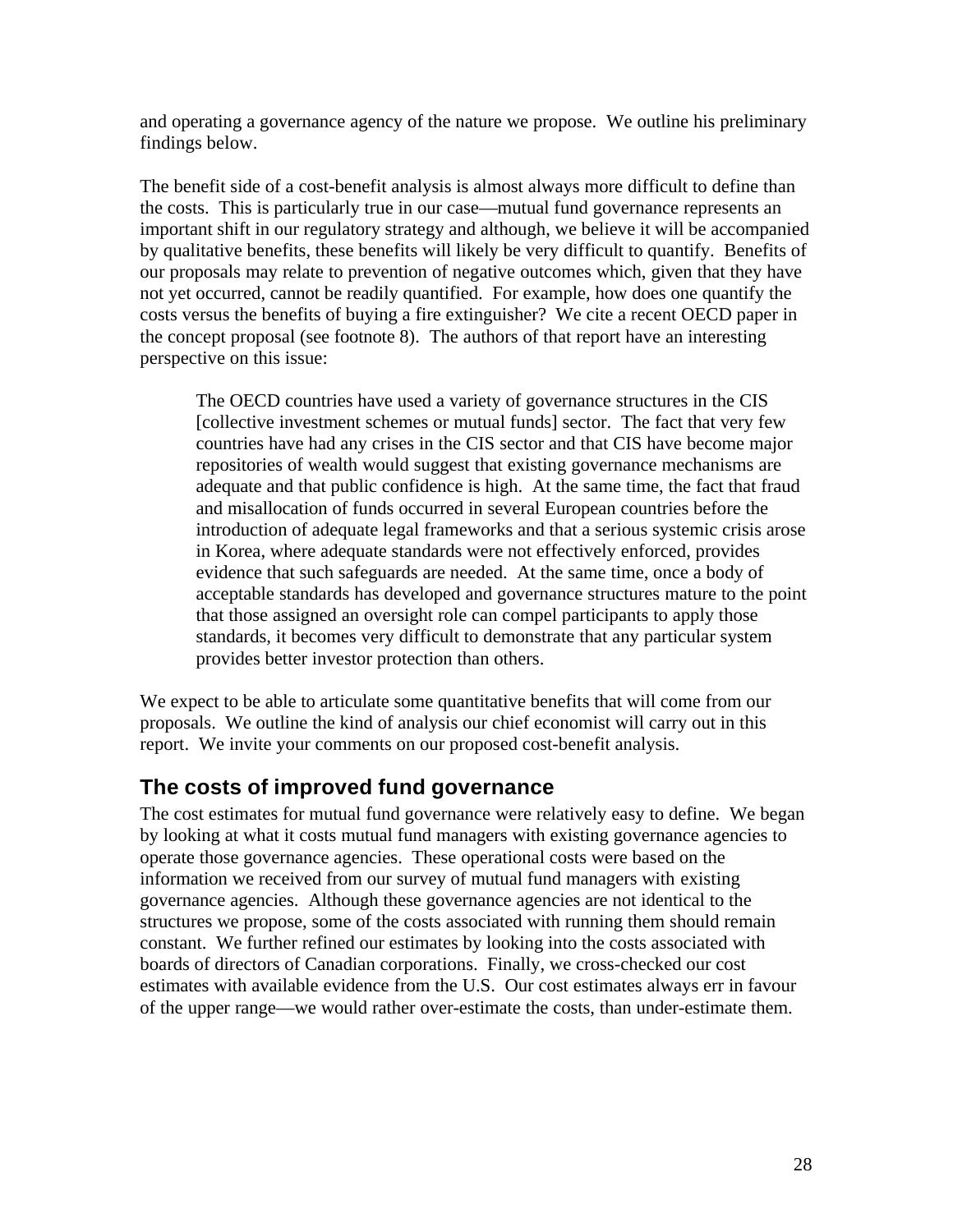and operating a governance agency of the nature we propose. We outline his preliminary findings below.

The benefit side of a cost-benefit analysis is almost always more difficult to define than the costs. This is particularly true in our case—mutual fund governance represents an important shift in our regulatory strategy and although, we believe it will be accompanied by qualitative benefits, these benefits will likely be very difficult to quantify. Benefits of our proposals may relate to prevention of negative outcomes which, given that they have not yet occurred, cannot be readily quantified. For example, how does one quantify the costs versus the benefits of buying a fire extinguisher? We cite a recent OECD paper in the concept proposal (see footnote 8). The authors of that report have an interesting perspective on this issue:

The OECD countries have used a variety of governance structures in the CIS [collective investment schemes or mutual funds] sector. The fact that very few countries have had any crises in the CIS sector and that CIS have become major repositories of wealth would suggest that existing governance mechanisms are adequate and that public confidence is high. At the same time, the fact that fraud and misallocation of funds occurred in several European countries before the introduction of adequate legal frameworks and that a serious systemic crisis arose in Korea, where adequate standards were not effectively enforced, provides evidence that such safeguards are needed. At the same time, once a body of acceptable standards has developed and governance structures mature to the point that those assigned an oversight role can compel participants to apply those standards, it becomes very difficult to demonstrate that any particular system provides better investor protection than others.

We expect to be able to articulate some quantitative benefits that will come from our proposals. We outline the kind of analysis our chief economist will carry out in this report. We invite your comments on our proposed cost-benefit analysis.

## **The costs of improved fund governance**

The cost estimates for mutual fund governance were relatively easy to define. We began by looking at what it costs mutual fund managers with existing governance agencies to operate those governance agencies. These operational costs were based on the information we received from our survey of mutual fund managers with existing governance agencies. Although these governance agencies are not identical to the structures we propose, some of the costs associated with running them should remain constant. We further refined our estimates by looking into the costs associated with boards of directors of Canadian corporations. Finally, we cross-checked our cost estimates with available evidence from the U.S. Our cost estimates always err in favour of the upper range—we would rather over-estimate the costs, than under-estimate them.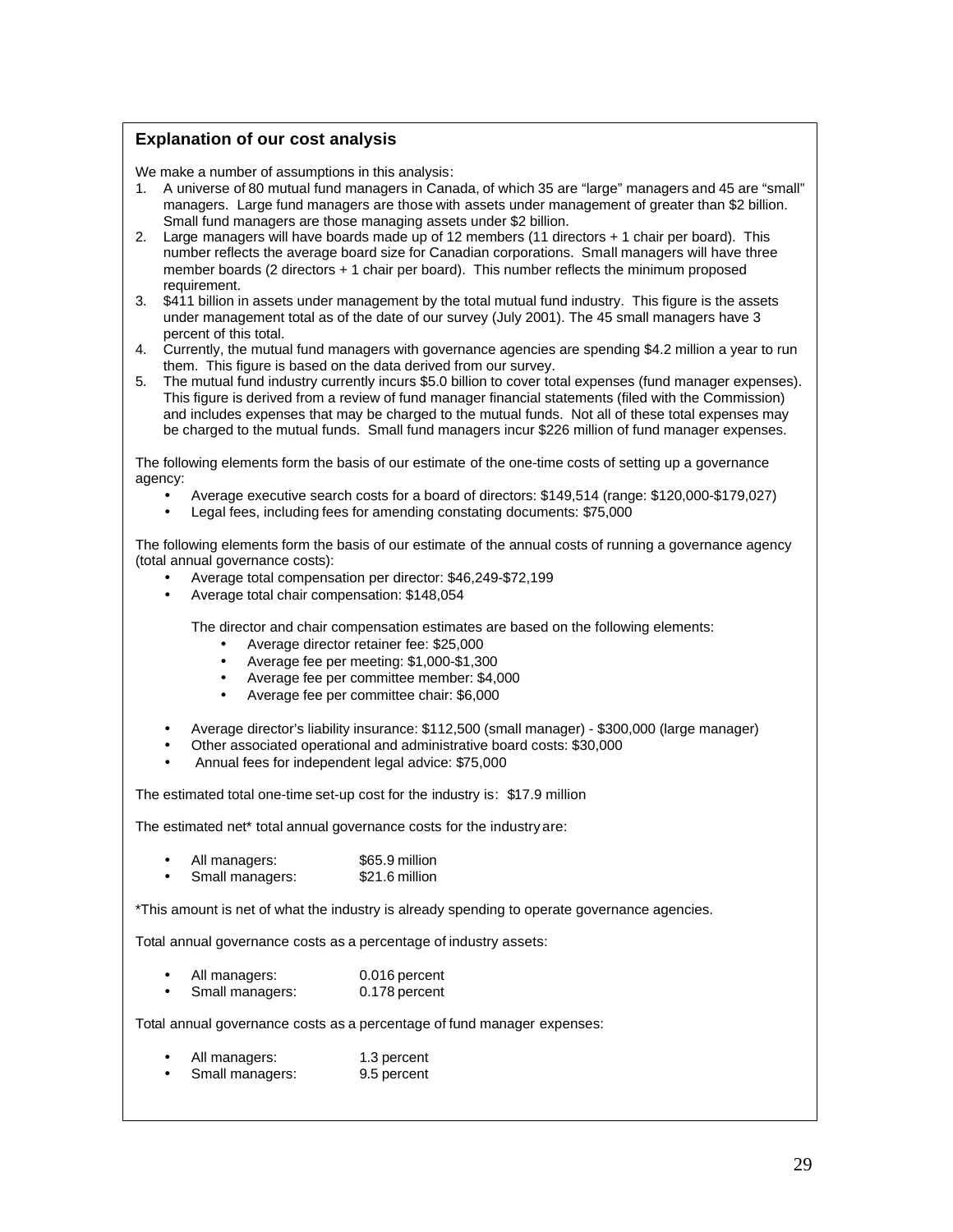#### **Explanation of our cost analysis**

We make a number of assumptions in this analysis:

- 1. A universe of 80 mutual fund managers in Canada, of which 35 are "large" managers and 45 are "small" managers. Large fund managers are those with assets under management of greater than \$2 billion. Small fund managers are those managing assets under \$2 billion.
- 2. Large managers will have boards made up of 12 members (11 directors + 1 chair per board). This number reflects the average board size for Canadian corporations. Small managers will have three member boards (2 directors + 1 chair per board). This number reflects the minimum proposed requirement.
- 3. \$411 billion in assets under management by the total mutual fund industry. This figure is the assets under management total as of the date of our survey (July 2001). The 45 small managers have 3 percent of this total.
- 4. Currently, the mutual fund managers with governance agencies are spending \$4.2 million a year to run them. This figure is based on the data derived from our survey.
- 5. The mutual fund industry currently incurs \$5.0 billion to cover total expenses (fund manager expenses). This figure is derived from a review of fund manager financial statements (filed with the Commission) and includes expenses that may be charged to the mutual funds. Not all of these total expenses may be charged to the mutual funds. Small fund managers incur \$226 million of fund manager expenses.

The following elements form the basis of our estimate of the one-time costs of setting up a governance agency:

- Average executive search costs for a board of directors: \$149,514 (range: \$120,000-\$179,027)
- Legal fees, including fees for amending constating documents: \$75,000

The following elements form the basis of our estimate of the annual costs of running a governance agency (total annual governance costs):

- Average total compensation per director: \$46,249-\$72,199
- Average total chair compensation: \$148,054

The director and chair compensation estimates are based on the following elements:

- Average director retainer fee: \$25,000
- Average fee per meeting: \$1,000-\$1,300
- Average fee per committee member: \$4,000
- Average fee per committee chair: \$6,000
- Average director's liability insurance: \$112,500 (small manager) \$300,000 (large manager)
- Other associated operational and administrative board costs: \$30,000
- Annual fees for independent legal advice: \$75,000

The estimated total one-time set-up cost for the industry is: \$17.9 million

The estimated net\* total annual governance costs for the industry are:

- All managers: \$65.9 million
- Small managers: \$21.6 million

\*This amount is net of what the industry is already spending to operate governance agencies.

Total annual governance costs as a percentage of industry assets:

- All managers: 0.016 percent<br>Small managers: 0.178 percent
- Small managers:

Total annual governance costs as a percentage of fund manager expenses:

- All managers: 1.3 percent
- Small managers: 9.5 percent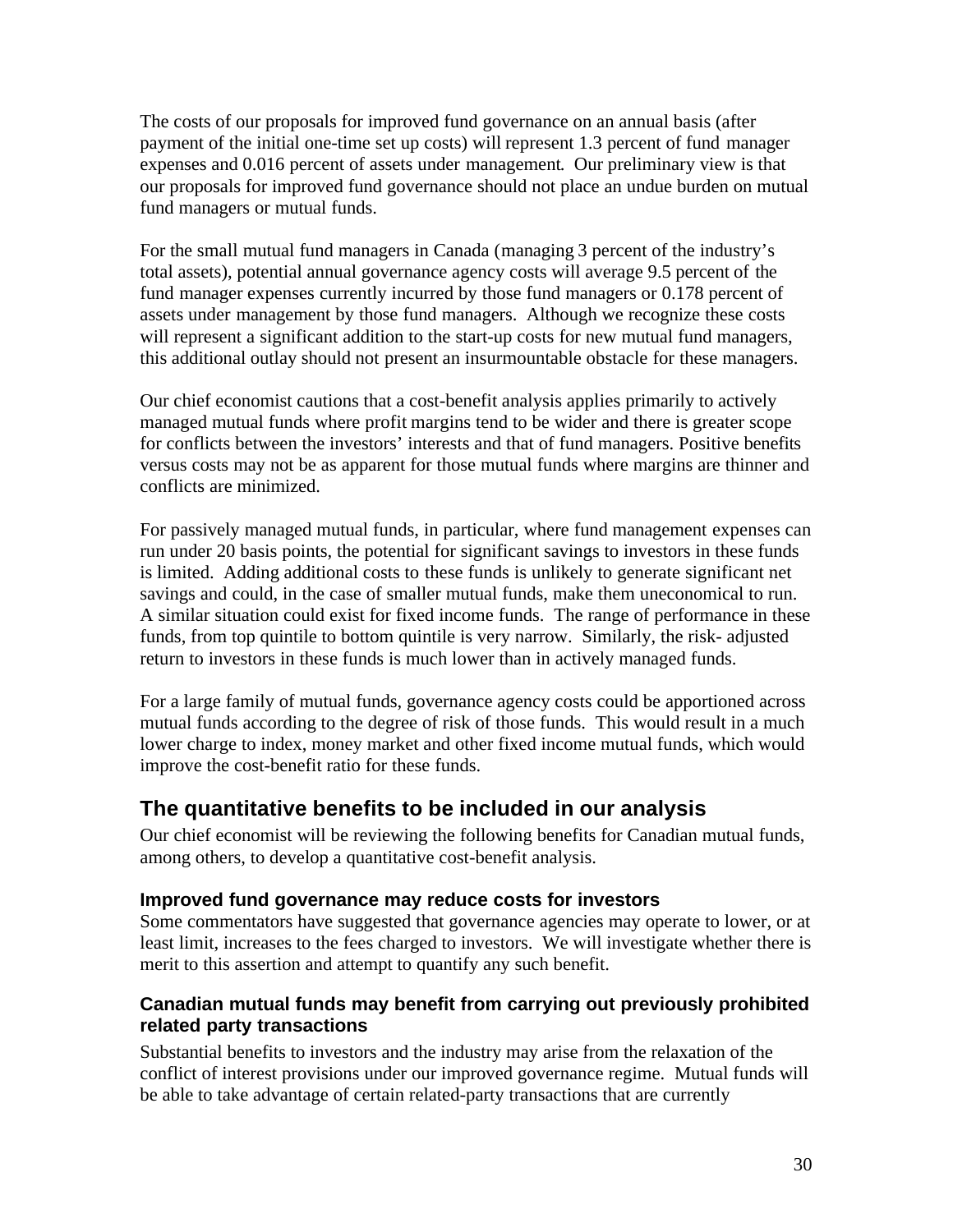The costs of our proposals for improved fund governance on an annual basis (after payment of the initial one-time set up costs) will represent 1.3 percent of fund manager expenses and 0.016 percent of assets under management. Our preliminary view is that our proposals for improved fund governance should not place an undue burden on mutual fund managers or mutual funds.

For the small mutual fund managers in Canada (managing 3 percent of the industry's total assets), potential annual governance agency costs will average 9.5 percent of the fund manager expenses currently incurred by those fund managers or 0.178 percent of assets under management by those fund managers. Although we recognize these costs will represent a significant addition to the start-up costs for new mutual fund managers, this additional outlay should not present an insurmountable obstacle for these managers.

Our chief economist cautions that a cost-benefit analysis applies primarily to actively managed mutual funds where profit margins tend to be wider and there is greater scope for conflicts between the investors' interests and that of fund managers. Positive benefits versus costs may not be as apparent for those mutual funds where margins are thinner and conflicts are minimized.

For passively managed mutual funds, in particular, where fund management expenses can run under 20 basis points, the potential for significant savings to investors in these funds is limited. Adding additional costs to these funds is unlikely to generate significant net savings and could, in the case of smaller mutual funds, make them uneconomical to run. A similar situation could exist for fixed income funds. The range of performance in these funds, from top quintile to bottom quintile is very narrow. Similarly, the risk- adjusted return to investors in these funds is much lower than in actively managed funds.

For a large family of mutual funds, governance agency costs could be apportioned across mutual funds according to the degree of risk of those funds. This would result in a much lower charge to index, money market and other fixed income mutual funds, which would improve the cost-benefit ratio for these funds.

## **The quantitative benefits to be included in our analysis**

Our chief economist will be reviewing the following benefits for Canadian mutual funds, among others, to develop a quantitative cost-benefit analysis.

#### **Improved fund governance may reduce costs for investors**

Some commentators have suggested that governance agencies may operate to lower, or at least limit, increases to the fees charged to investors. We will investigate whether there is merit to this assertion and attempt to quantify any such benefit.

## **Canadian mutual funds may benefit from carrying out previously prohibited related party transactions**

Substantial benefits to investors and the industry may arise from the relaxation of the conflict of interest provisions under our improved governance regime. Mutual funds will be able to take advantage of certain related-party transactions that are currently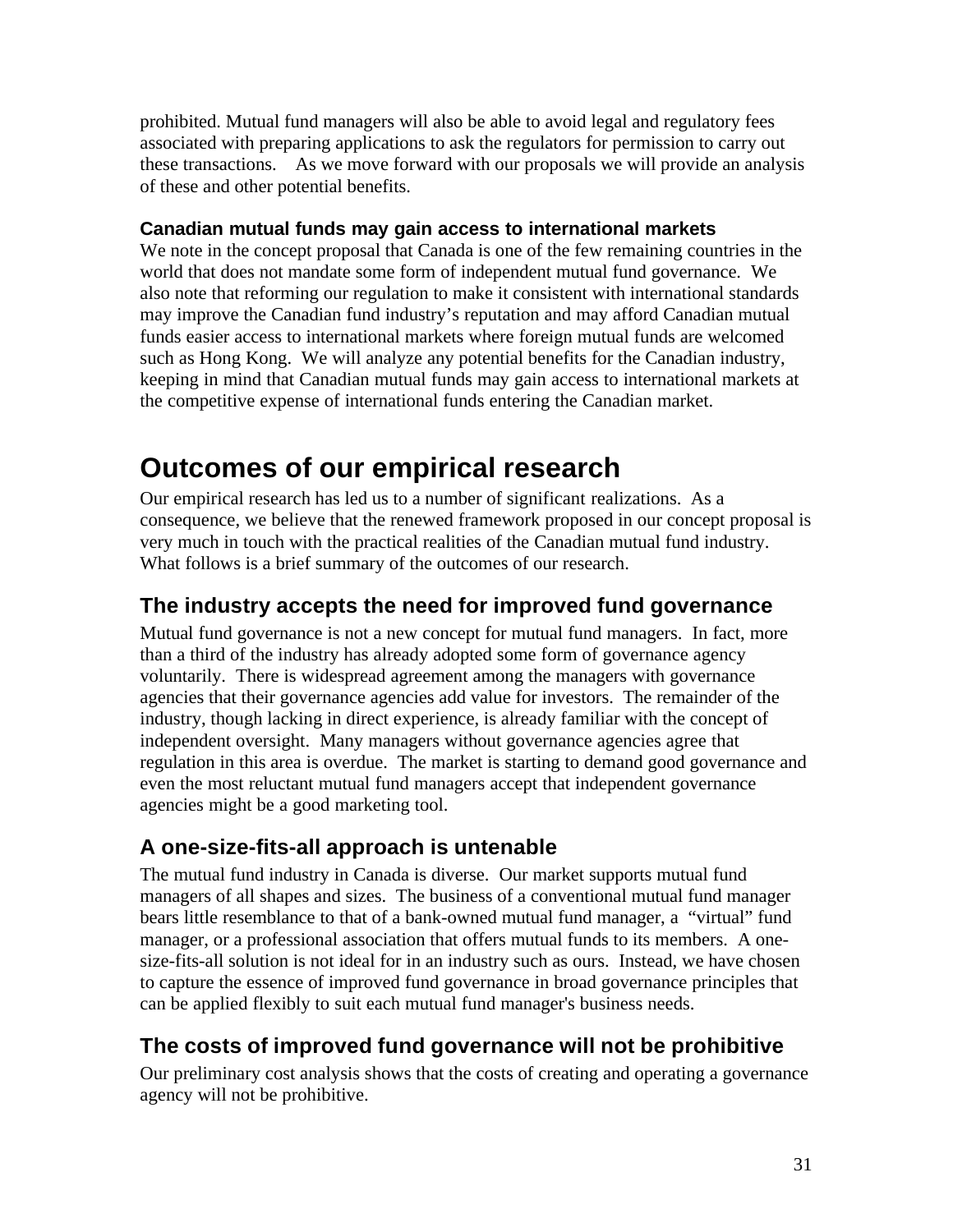prohibited. Mutual fund managers will also be able to avoid legal and regulatory fees associated with preparing applications to ask the regulators for permission to carry out these transactions. As we move forward with our proposals we will provide an analysis of these and other potential benefits.

#### **Canadian mutual funds may gain access to international markets**

We note in the concept proposal that Canada is one of the few remaining countries in the world that does not mandate some form of independent mutual fund governance. We also note that reforming our regulation to make it consistent with international standards may improve the Canadian fund industry's reputation and may afford Canadian mutual funds easier access to international markets where foreign mutual funds are welcomed such as Hong Kong. We will analyze any potential benefits for the Canadian industry, keeping in mind that Canadian mutual funds may gain access to international markets at the competitive expense of international funds entering the Canadian market.

## **Outcomes of our empirical research**

Our empirical research has led us to a number of significant realizations. As a consequence, we believe that the renewed framework proposed in our concept proposal is very much in touch with the practical realities of the Canadian mutual fund industry. What follows is a brief summary of the outcomes of our research.

## **The industry accepts the need for improved fund governance**

Mutual fund governance is not a new concept for mutual fund managers. In fact, more than a third of the industry has already adopted some form of governance agency voluntarily. There is widespread agreement among the managers with governance agencies that their governance agencies add value for investors. The remainder of the industry, though lacking in direct experience, is already familiar with the concept of independent oversight. Many managers without governance agencies agree that regulation in this area is overdue. The market is starting to demand good governance and even the most reluctant mutual fund managers accept that independent governance agencies might be a good marketing tool.

## **A one-size-fits-all approach is untenable**

The mutual fund industry in Canada is diverse. Our market supports mutual fund managers of all shapes and sizes. The business of a conventional mutual fund manager bears little resemblance to that of a bank-owned mutual fund manager, a "virtual" fund manager, or a professional association that offers mutual funds to its members. A onesize-fits-all solution is not ideal for in an industry such as ours. Instead, we have chosen to capture the essence of improved fund governance in broad governance principles that can be applied flexibly to suit each mutual fund manager's business needs.

## **The costs of improved fund governance will not be prohibitive**

Our preliminary cost analysis shows that the costs of creating and operating a governance agency will not be prohibitive.